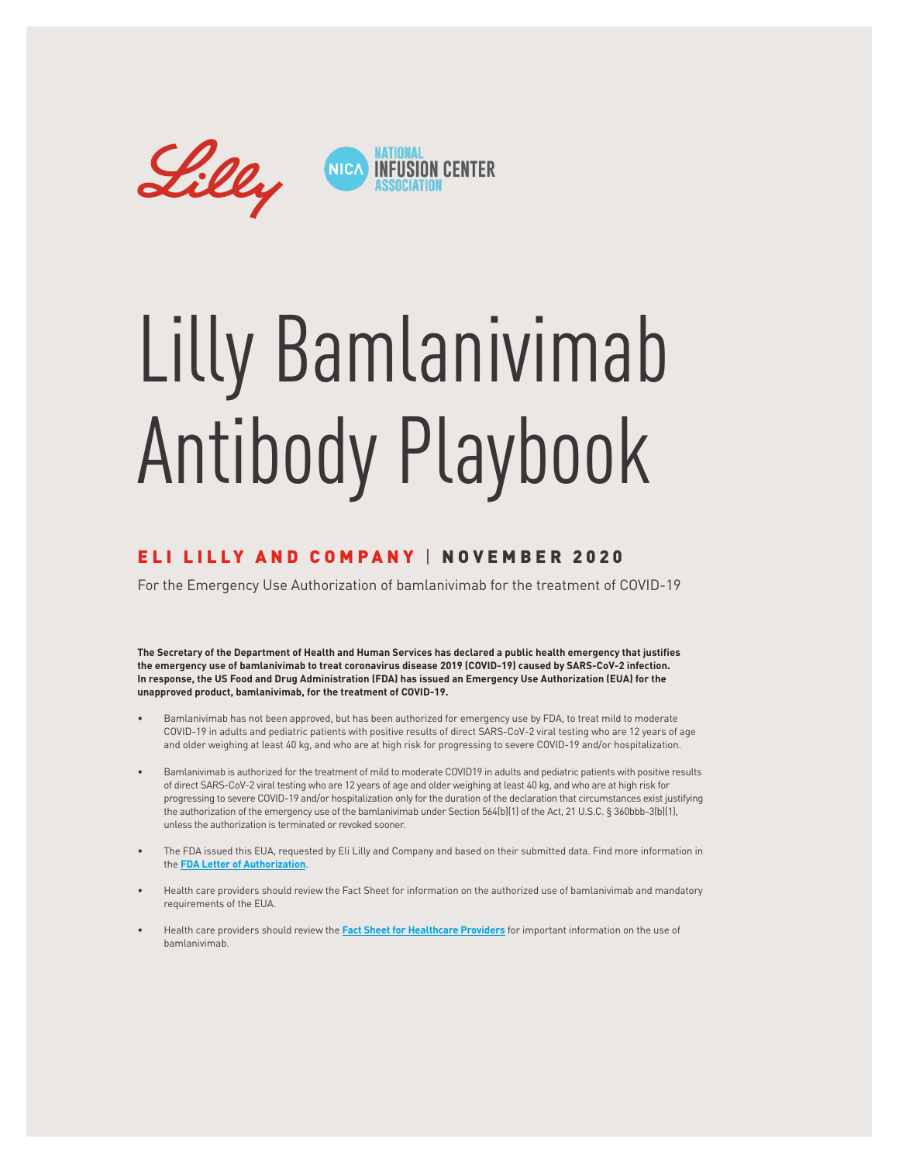

# Lilly Bamlanivimab Antibody Playbook

#### ELI LILLY AND COMPANY | NOVEMBER 2020

For the Emergency Use Authorization of bamlanivimab for the treatment of COVID-19

**The Secretary of the Department of Health and Human Services has declared a public health emergency that justifies the emergency use of bamlanivimab to treat coronavirus disease 2019 (COVID-19) caused by SARS-CoV-2 infection. In response, the US Food and Drug Administration (FDA) has issued an Emergency Use Authorization (EUA) for the unapproved product, bamlanivimab, for the treatment of COVID-19.**

- Bamlanivimab has not been approved, but has been authorized for emergency use by FDA, to treat mild to moderate COVID-19 in adults and pediatric patients with positive results of direct SARS-CoV-2 viral testing who are 12 years of age and older weighing at least 40 kg, and who are at high risk for progressing to severe COVID-19 and/or hospitalization.
- Bamlanivimab is authorized for the treatment of mild to moderate COVID19 in adults and pediatric patients with positive results of direct SARS-CoV-2 viral testing who are 12 years of age and older weighing at least 40 kg, and who are at high risk for progressing to severe COVID-19 and/or hospitalization only for the duration of the declaration that circumstances exist justifying the authorization of the emergency use of the bamlanivimab under Section 564(b)(1) of the Act, 21 U.S.C. § 360bbb-3(b)(1), unless the authorization is terminated or revoked sooner.
- The FDA issued this EUA, requested by Eli Lilly and Company and based on their submitted data. Find more information in the **[FDA Letter of Authorization](http://pi.lilly.com/eua/bamlanivimab-eua-fda-authorization-letter.pdf)**.
- Health care providers should review the Fact Sheet for information on the authorized use of bamlanivimab and mandatory requirements of the EUA.
- Health care providers should review the **[Fact Sheet for Healthcare Providers](http://pi.lilly.com/eua/bamlanivimab-eua-factsheet-hcp.pdf)** for important information on the use of bamlanivimab.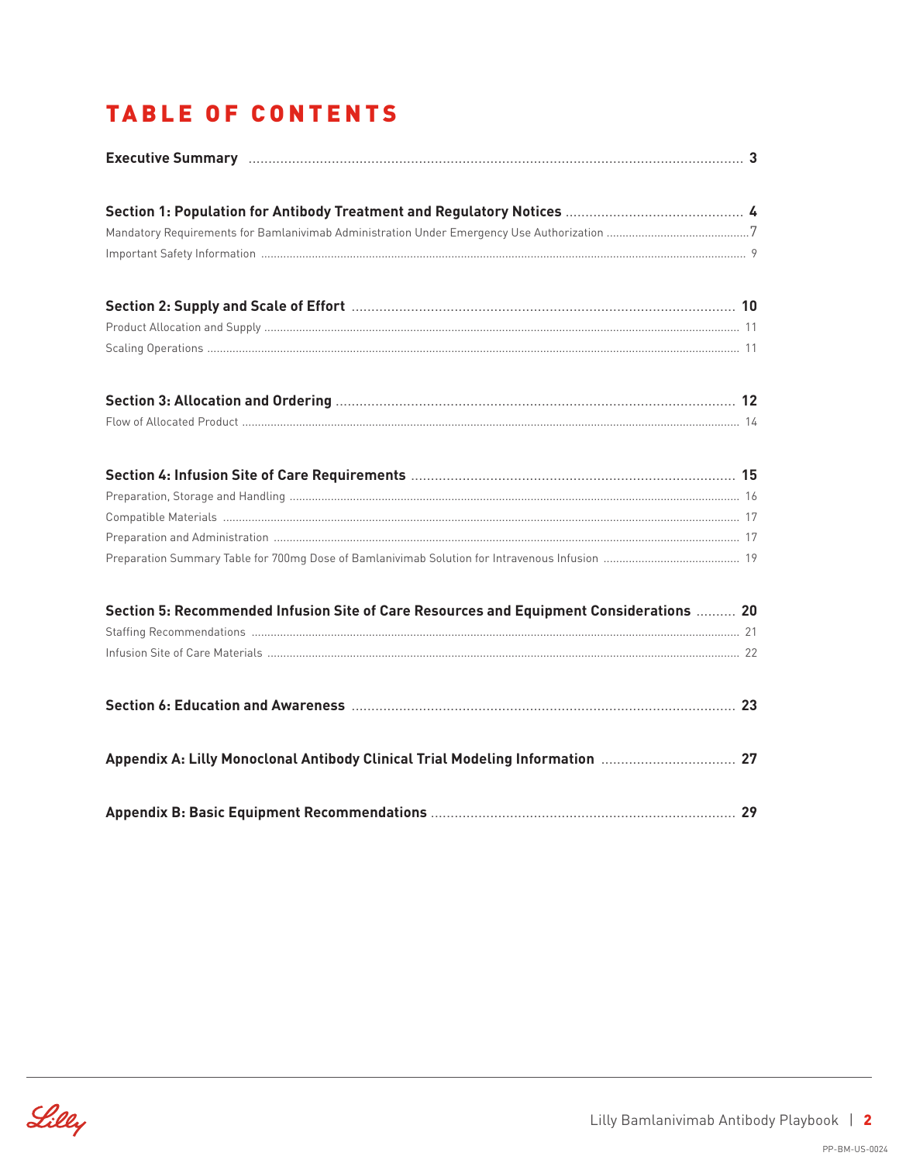## **TABLE OF CONTENTS**

| Section 5: Recommended Infusion Site of Care Resources and Equipment Considerations  20 |  |
|-----------------------------------------------------------------------------------------|--|
|                                                                                         |  |
|                                                                                         |  |
|                                                                                         |  |
|                                                                                         |  |
|                                                                                         |  |

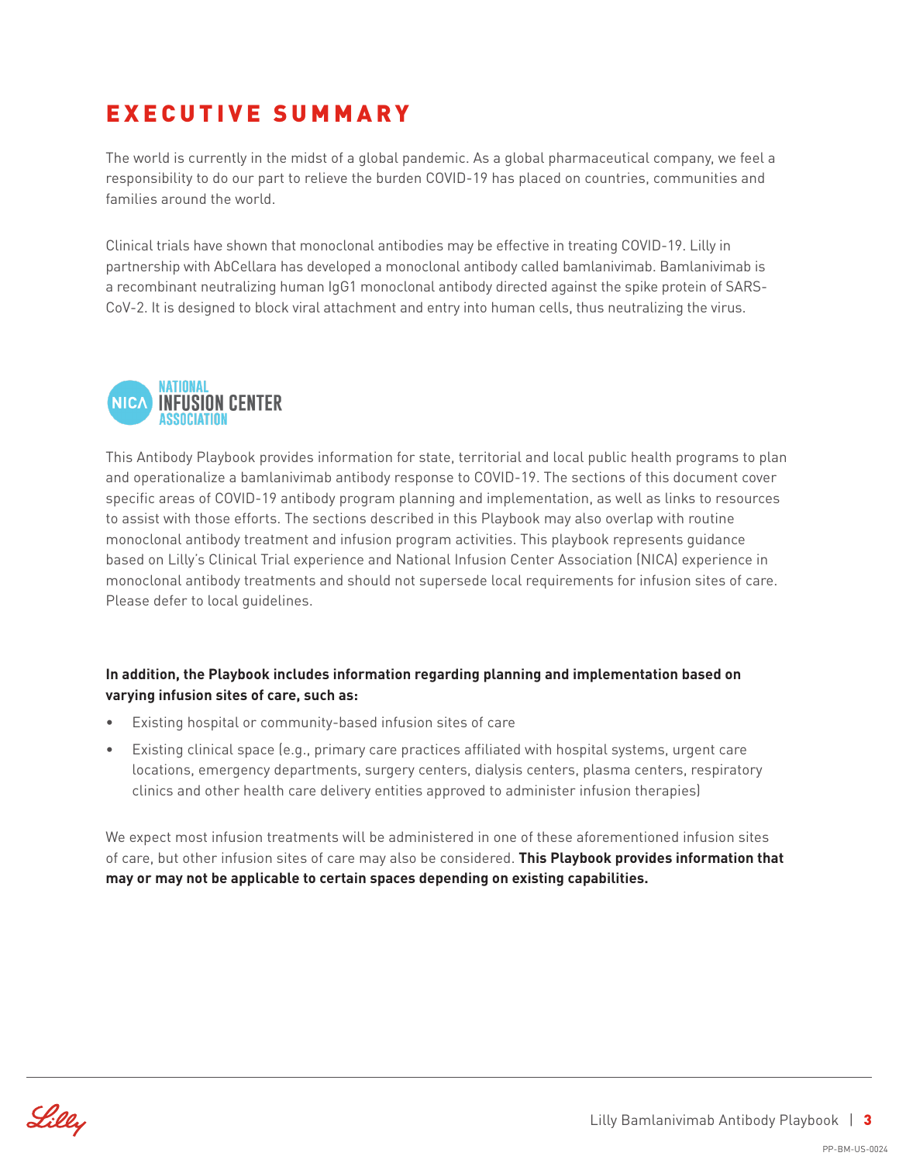## EXECUTIVE SUMMARY

The world is currently in the midst of a global pandemic. As a global pharmaceutical company, we feel a responsibility to do our part to relieve the burden COVID-19 has placed on countries, communities and families around the world.

Clinical trials have shown that monoclonal antibodies may be effective in treating COVID-19. Lilly in partnership with AbCellara has developed a monoclonal antibody called bamlanivimab. Bamlanivimab is a recombinant neutralizing human IgG1 monoclonal antibody directed against the spike protein of SARS-CoV-2. It is designed to block viral attachment and entry into human cells, thus neutralizing the virus.



This Antibody Playbook provides information for state, territorial and local public health programs to plan and operationalize a bamlanivimab antibody response to COVID-19. The sections of this document cover specific areas of COVID-19 antibody program planning and implementation, as well as links to resources to assist with those efforts. The sections described in this Playbook may also overlap with routine monoclonal antibody treatment and infusion program activities. This playbook represents guidance based on Lilly's Clinical Trial experience and National Infusion Center Association (NICA) experience in monoclonal antibody treatments and should not supersede local requirements for infusion sites of care. Please defer to local guidelines.

#### **In addition, the Playbook includes information regarding planning and implementation based on varying infusion sites of care, such as:**

- Existing hospital or community-based infusion sites of care
- Existing clinical space (e.g., primary care practices affiliated with hospital systems, urgent care locations, emergency departments, surgery centers, dialysis centers, plasma centers, respiratory clinics and other health care delivery entities approved to administer infusion therapies)

We expect most infusion treatments will be administered in one of these aforementioned infusion sites of care, but other infusion sites of care may also be considered. **This Playbook provides information that may or may not be applicable to certain spaces depending on existing capabilities.**

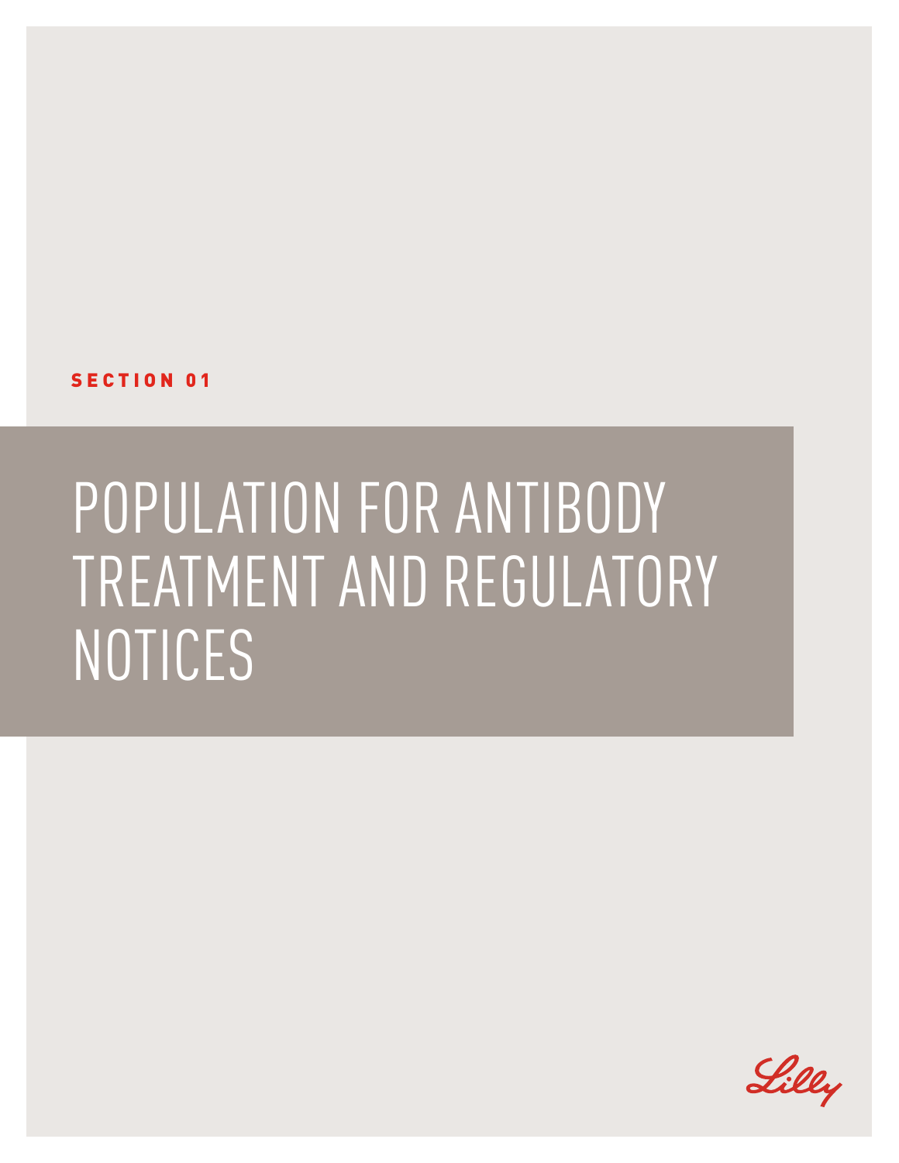SECTION 01

## POPULATION FOR ANTIBODY TREATMENT AND REGULATORY NOTICES

Lilly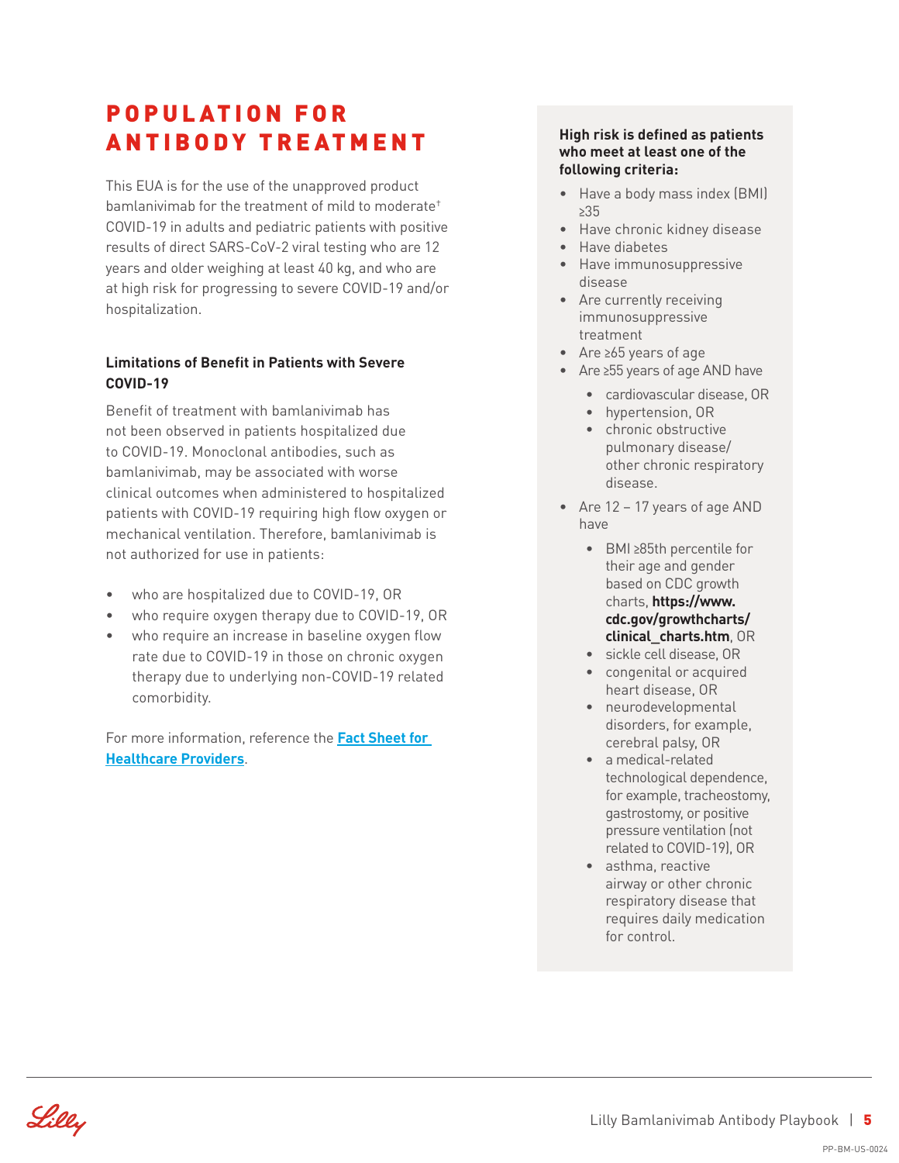### P O P U L AT I O N F O R ANTIBODY TREATMENT

This EUA is for the use of the unapproved product bamlanivimab for the treatment of mild to moderate† COVID-19 in adults and pediatric patients with positive results of direct SARS-CoV-2 viral testing who are 12 years and older weighing at least 40 kg, and who are at high risk for progressing to severe COVID-19 and/or hospitalization.

#### **Limitations of Benefit in Patients with Severe COVID-19**

Benefit of treatment with bamlanivimab has not been observed in patients hospitalized due to COVID-19. Monoclonal antibodies, such as bamlanivimab, may be associated with worse clinical outcomes when administered to hospitalized patients with COVID-19 requiring high flow oxygen or mechanical ventilation. Therefore, bamlanivimab is not authorized for use in patients:

- who are hospitalized due to COVID-19, OR
- who require oxygen therapy due to COVID-19, OR
- who require an increase in baseline oxygen flow rate due to COVID-19 in those on chronic oxygen therapy due to underlying non-COVID-19 related comorbidity.

For more information, reference the **[Fact Sheet for](http://pi.lilly.com/eua/bamlanivimab-eua-factsheet-hcp.pdf)  [Healthcare Providers](http://pi.lilly.com/eua/bamlanivimab-eua-factsheet-hcp.pdf)**.

#### **High risk is defined as patients who meet at least one of the following criteria:**

- Have a body mass index (BMI) **≥**35
- Have chronic kidney disease
- Have diabetes
- Have immunosuppressive disease
- Are currently receiving immunosuppressive treatment
- Are **≥**65 years of age
- Are **≥**55 years of age AND have
	- cardiovascular disease, OR
	- hypertension, OR
	- chronic obstructive pulmonary disease/ other chronic respiratory disease.
- Are 12 17 years of age AND have
	- BMI **≥**85th percentile for their age and gender based on CDC growth charts, **[https://www.](https://www.cdc.gov/growthcharts/clinical_charts.htm) [cdc.gov/growthcharts/](https://www.cdc.gov/growthcharts/clinical_charts.htm) [clinical\\_charts.htm](https://www.cdc.gov/growthcharts/clinical_charts.htm)**, OR
	- sickle cell disease, OR
	- congenital or acquired heart disease, OR
	- neurodevelopmental disorders, for example, cerebral palsy, OR
	- a medical-related technological dependence, for example, tracheostomy, gastrostomy, or positive pressure ventilation (not related to COVID-19), OR
	- asthma, reactive airway or other chronic respiratory disease that requires daily medication for control.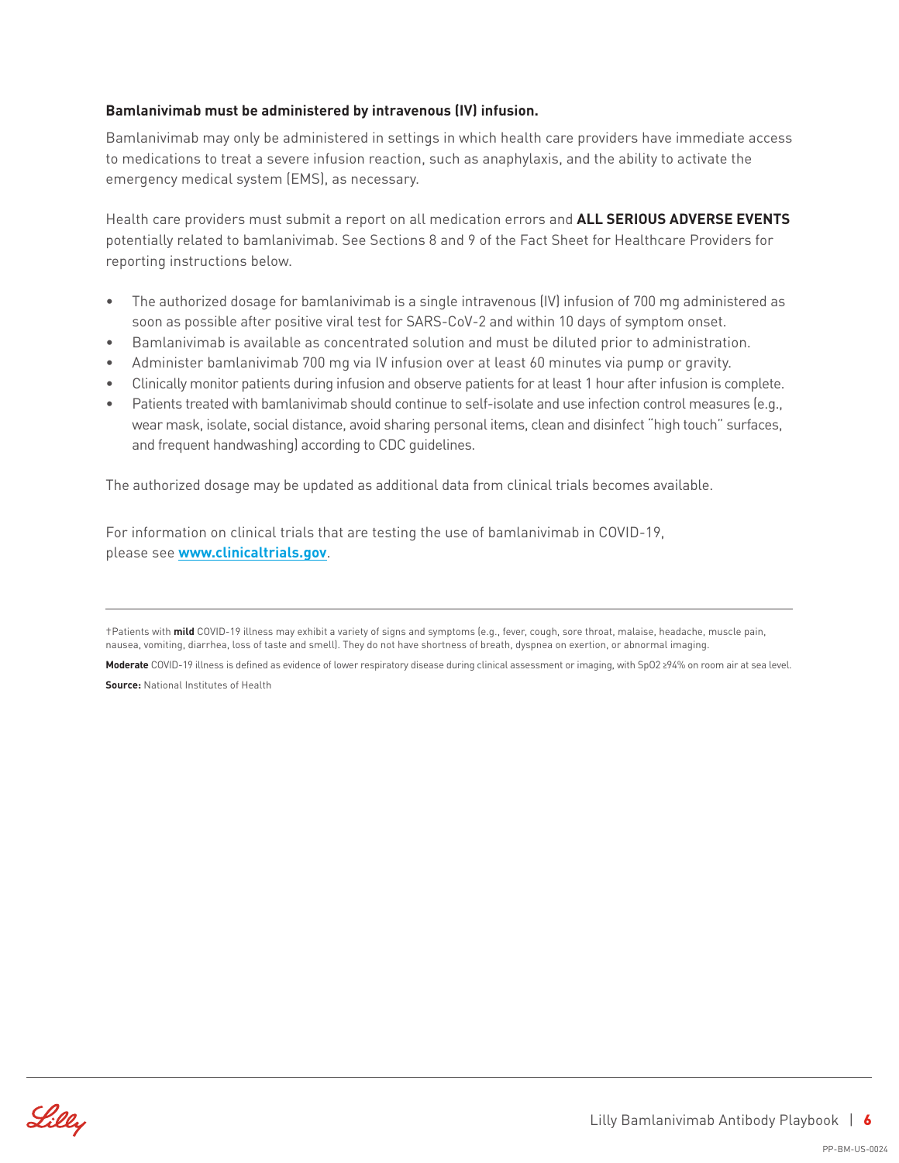#### **Bamlanivimab must be administered by intravenous (IV) infusion.**

Bamlanivimab may only be administered in settings in which health care providers have immediate access to medications to treat a severe infusion reaction, such as anaphylaxis, and the ability to activate the emergency medical system (EMS), as necessary.

Health care providers must submit a report on all medication errors and **ALL SERIOUS ADVERSE EVENTS** potentially related to bamlanivimab. See Sections 8 and 9 of the Fact Sheet for Healthcare Providers for reporting instructions below.

- The authorized dosage for bamlanivimab is a single intravenous (IV) infusion of 700 mg administered as soon as possible after positive viral test for SARS-CoV-2 and within 10 days of symptom onset.
- Bamlanivimab is available as concentrated solution and must be diluted prior to administration.
- Administer bamlanivimab 700 mg via IV infusion over at least 60 minutes via pump or gravity.
- Clinically monitor patients during infusion and observe patients for at least 1 hour after infusion is complete.
- Patients treated with bamlanivimab should continue to self-isolate and use infection control measures (e.g., wear mask, isolate, social distance, avoid sharing personal items, clean and disinfect "high touch" surfaces, and frequent handwashing) according to CDC guidelines.

The authorized dosage may be updated as additional data from clinical trials becomes available.

For information on clinical trials that are testing the use of bamlanivimab in COVID-19, please see **[www.clinicaltrials.gov](http://www.clinicaltrials.gov)**.



<sup>†</sup>Patients with **mild** COVID-19 illness may exhibit a variety of signs and symptoms (e.g., fever, cough, sore throat, malaise, headache, muscle pain, nausea, vomiting, diarrhea, loss of taste and smell). They do not have shortness of breath, dyspnea on exertion, or abnormal imaging.

**Moderate** COVID-19 illness is defined as evidence of lower respiratory disease during clinical assessment or imaging, with SpO2 **≥**94% on room air at sea level. **Source:** National Institutes of Health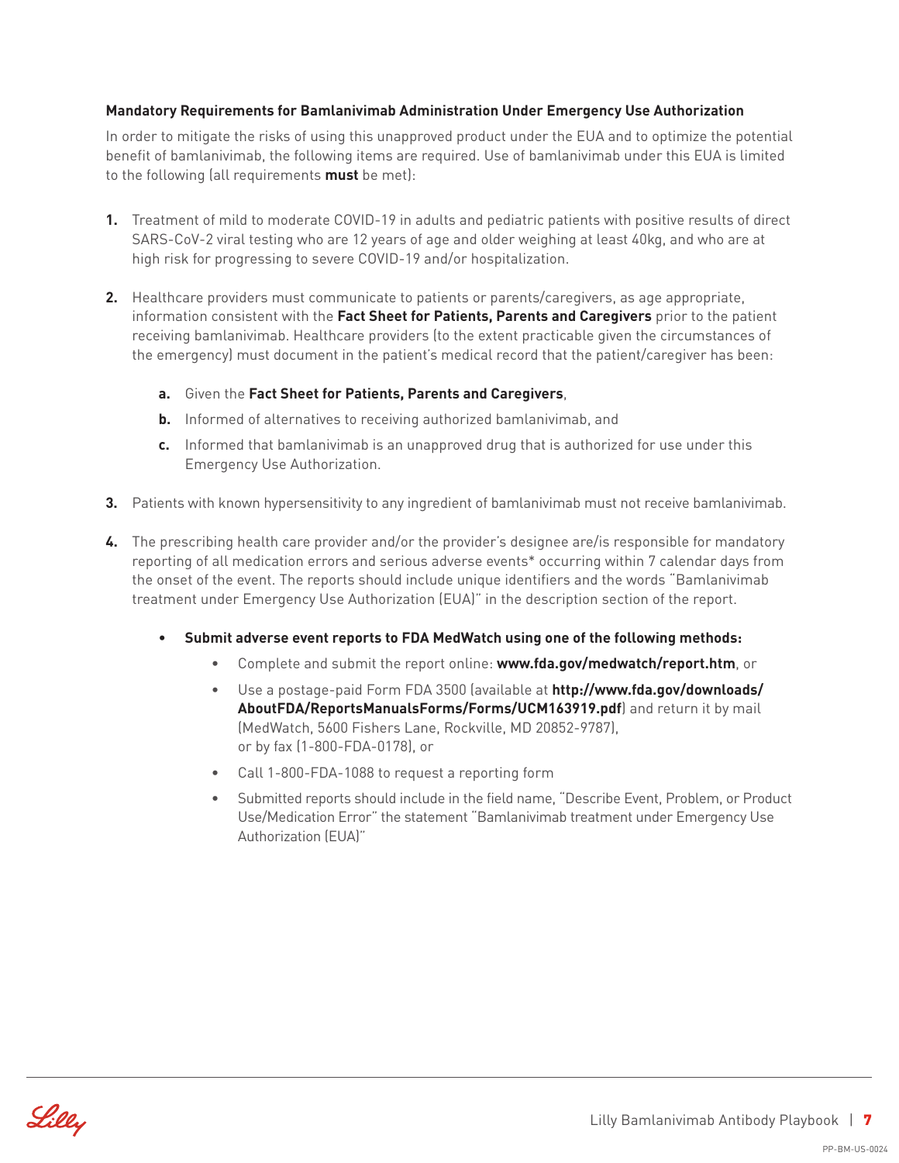#### **Mandatory Requirements for Bamlanivimab Administration Under Emergency Use Authorization**

In order to mitigate the risks of using this unapproved product under the EUA and to optimize the potential benefit of bamlanivimab, the following items are required. Use of bamlanivimab under this EUA is limited to the following (all requirements **must** be met):

- **1.** Treatment of mild to moderate COVID-19 in adults and pediatric patients with positive results of direct SARS-CoV-2 viral testing who are 12 years of age and older weighing at least 40kg, and who are at high risk for progressing to severe COVID-19 and/or hospitalization.
- **2.** Healthcare providers must communicate to patients or parents/caregivers, as age appropriate, information consistent with the **Fact Sheet for Patients, Parents and Caregivers** prior to the patient receiving bamlanivimab. Healthcare providers (to the extent practicable given the circumstances of the emergency) must document in the patient's medical record that the patient/caregiver has been:
	- **a.** Given the **Fact Sheet for Patients, Parents and Caregivers**,
	- **b.** Informed of alternatives to receiving authorized bamlanivimab, and
	- **c.** Informed that bamlanivimab is an unapproved drug that is authorized for use under this Emergency Use Authorization.
- **3.** Patients with known hypersensitivity to any ingredient of bamlanivimab must not receive bamlanivimab.
- **4.** The prescribing health care provider and/or the provider's designee are/is responsible for mandatory reporting of all medication errors and serious adverse events\* occurring within 7 calendar days from the onset of the event. The reports should include unique identifiers and the words "Bamlanivimab treatment under Emergency Use Authorization (EUA)" in the description section of the report.
	- **• Submit adverse event reports to FDA MedWatch using one of the following methods:**
		- Complete and submit the report online: **www.fda.gov/medwatch/report.htm**, or
		- Use a postage-paid Form FDA 3500 (available at **http://www.fda.gov/downloads/ AboutFDA/ReportsManualsForms/Forms/UCM163919.pdf**) and return it by mail (MedWatch, 5600 Fishers Lane, Rockville, MD 20852-9787), or by fax (1-800-FDA-0178), or
		- Call 1-800-FDA-1088 to request a reporting form
		- Submitted reports should include in the field name, "Describe Event, Problem, or Product Use/Medication Error" the statement "Bamlanivimab treatment under Emergency Use Authorization (EUA)"

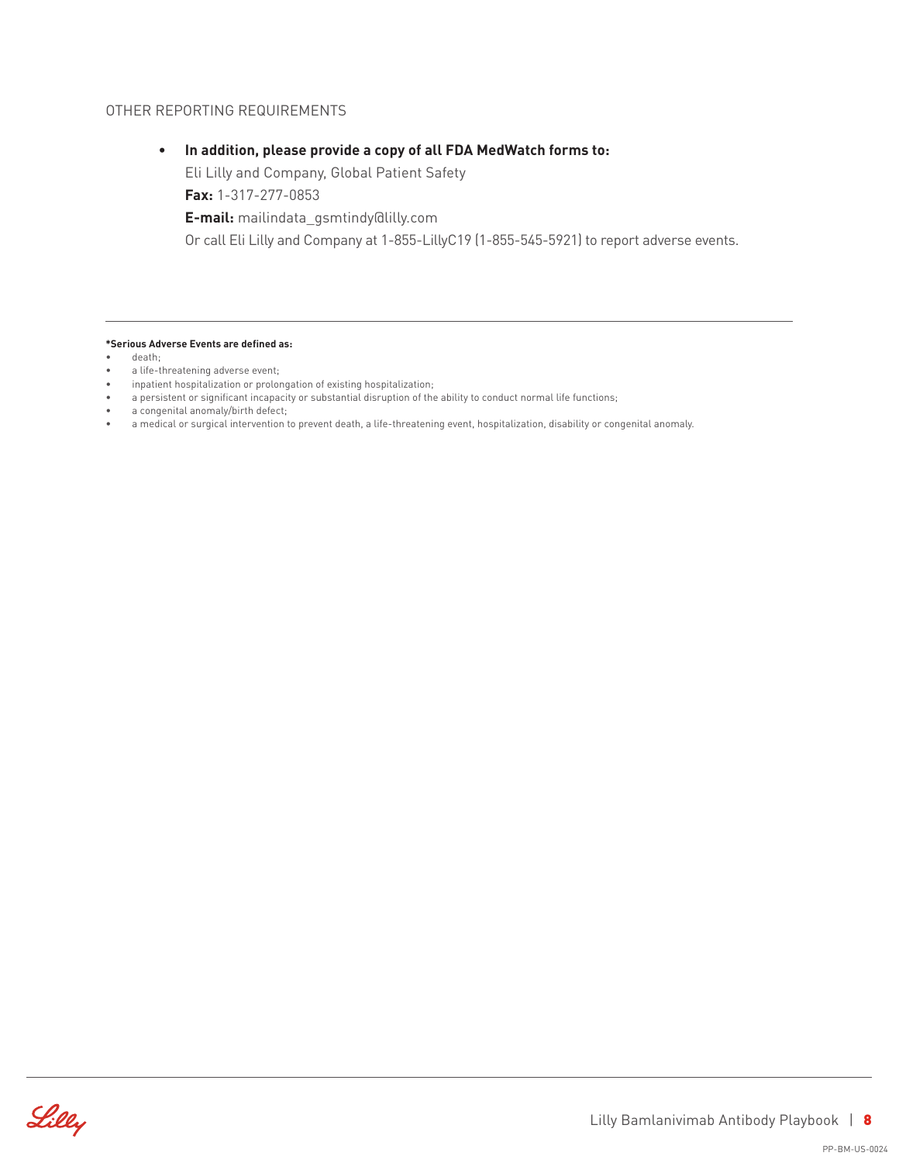#### OTHER REPORTING REQUIREMENTS

#### **• In addition, please provide a copy of all FDA MedWatch forms to:**

Eli Lilly and Company, Global Patient Safety

**Fax:** 1-317-277-0853

**E-mail:** mailindata\_gsmtindy@lilly.com

Or call Eli Lilly and Company at 1-855-LillyC19 (1-855-545-5921) to report adverse events.

**\*Serious Adverse Events are defined as:**

- death;
- a life-threatening adverse event;
- inpatient hospitalization or prolongation of existing hospitalization;
- a persistent or significant incapacity or substantial disruption of the ability to conduct normal life functions;
- a congenital anomaly/birth defect;
- a medical or surgical intervention to prevent death, a life-threatening event, hospitalization, disability or congenital anomaly.

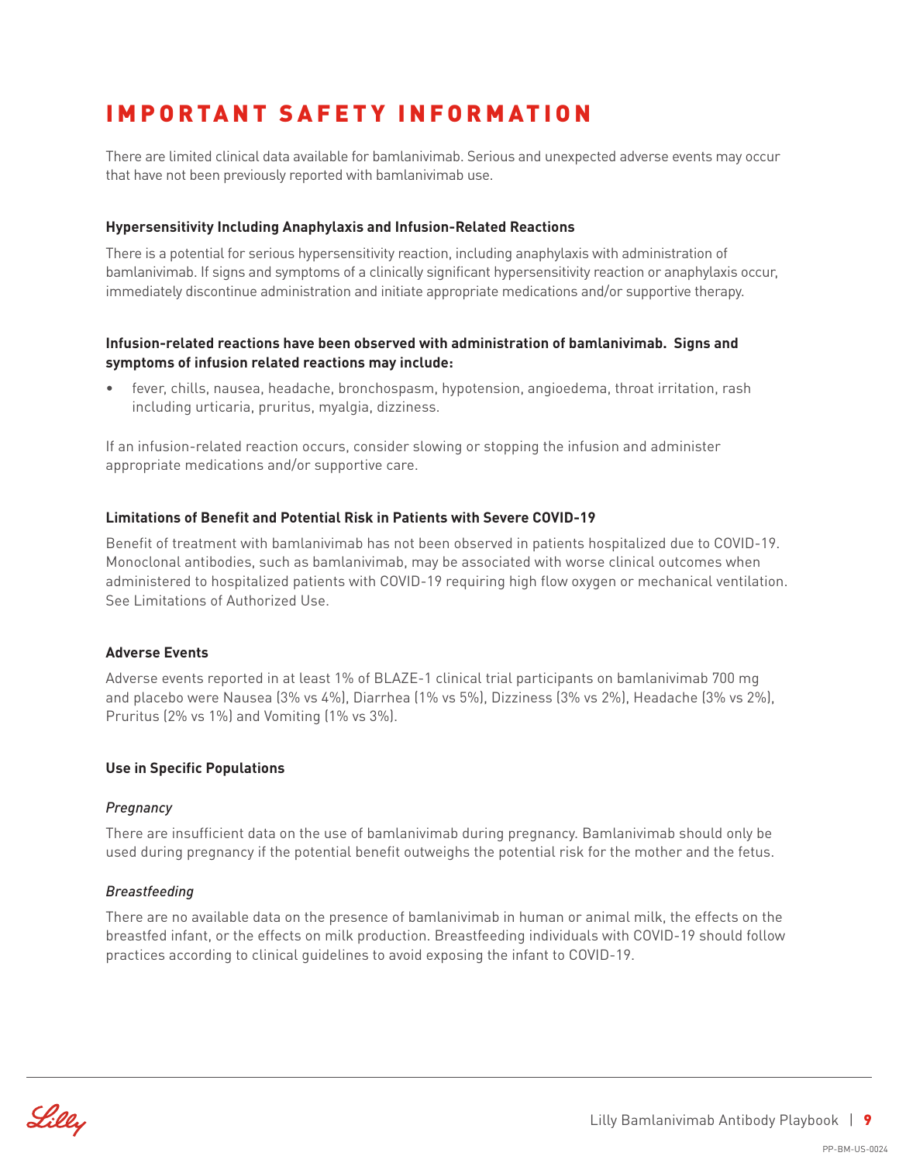## IMPORTANT SAFETY INFORMATION

There are limited clinical data available for bamlanivimab. Serious and unexpected adverse events may occur that have not been previously reported with bamlanivimab use.

#### **Hypersensitivity Including Anaphylaxis and Infusion-Related Reactions**

There is a potential for serious hypersensitivity reaction, including anaphylaxis with administration of bamlanivimab. If signs and symptoms of a clinically significant hypersensitivity reaction or anaphylaxis occur, immediately discontinue administration and initiate appropriate medications and/or supportive therapy.

#### **Infusion-related reactions have been observed with administration of bamlanivimab. Signs and symptoms of infusion related reactions may include:**

• fever, chills, nausea, headache, bronchospasm, hypotension, angioedema, throat irritation, rash including urticaria, pruritus, myalgia, dizziness.

If an infusion-related reaction occurs, consider slowing or stopping the infusion and administer appropriate medications and/or supportive care.

#### **Limitations of Benefit and Potential Risk in Patients with Severe COVID-19**

Benefit of treatment with bamlanivimab has not been observed in patients hospitalized due to COVID-19. Monoclonal antibodies, such as bamlanivimab, may be associated with worse clinical outcomes when administered to hospitalized patients with COVID-19 requiring high flow oxygen or mechanical ventilation. See Limitations of Authorized Use.

#### **Adverse Events**

Adverse events reported in at least 1% of BLAZE-1 clinical trial participants on bamlanivimab 700 mg and placebo were Nausea (3% vs 4%), Diarrhea (1% vs 5%), Dizziness (3% vs 2%), Headache (3% vs 2%), Pruritus (2% vs 1%) and Vomiting (1% vs 3%).

#### **Use in Specific Populations**

#### *Pregnancy*

There are insufficient data on the use of bamlanivimab during pregnancy. Bamlanivimab should only be used during pregnancy if the potential benefit outweighs the potential risk for the mother and the fetus.

#### *Breastfeeding*

There are no available data on the presence of bamlanivimab in human or animal milk, the effects on the breastfed infant, or the effects on milk production. Breastfeeding individuals with COVID-19 should follow practices according to clinical guidelines to avoid exposing the infant to COVID-19.

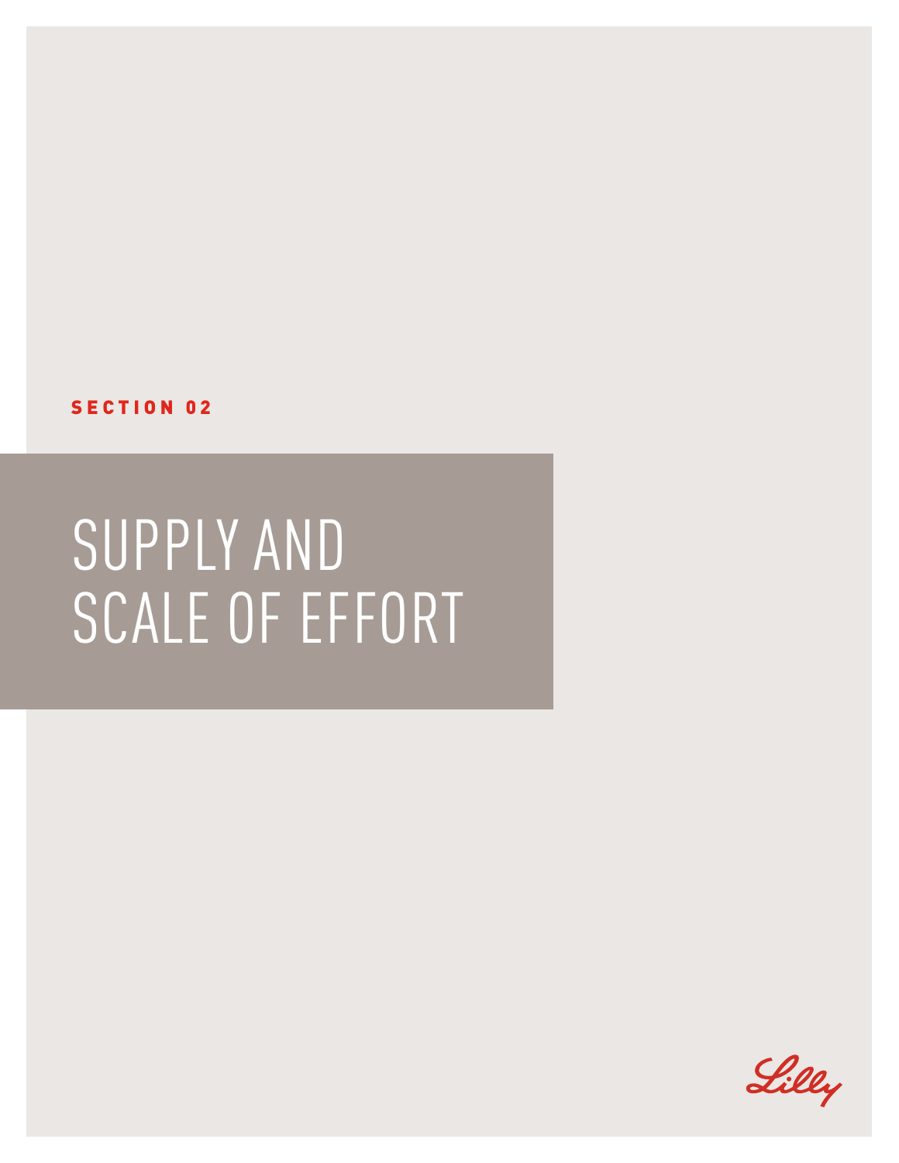

## SUPPLY AND SCALE OF EFFORT

SECTION 02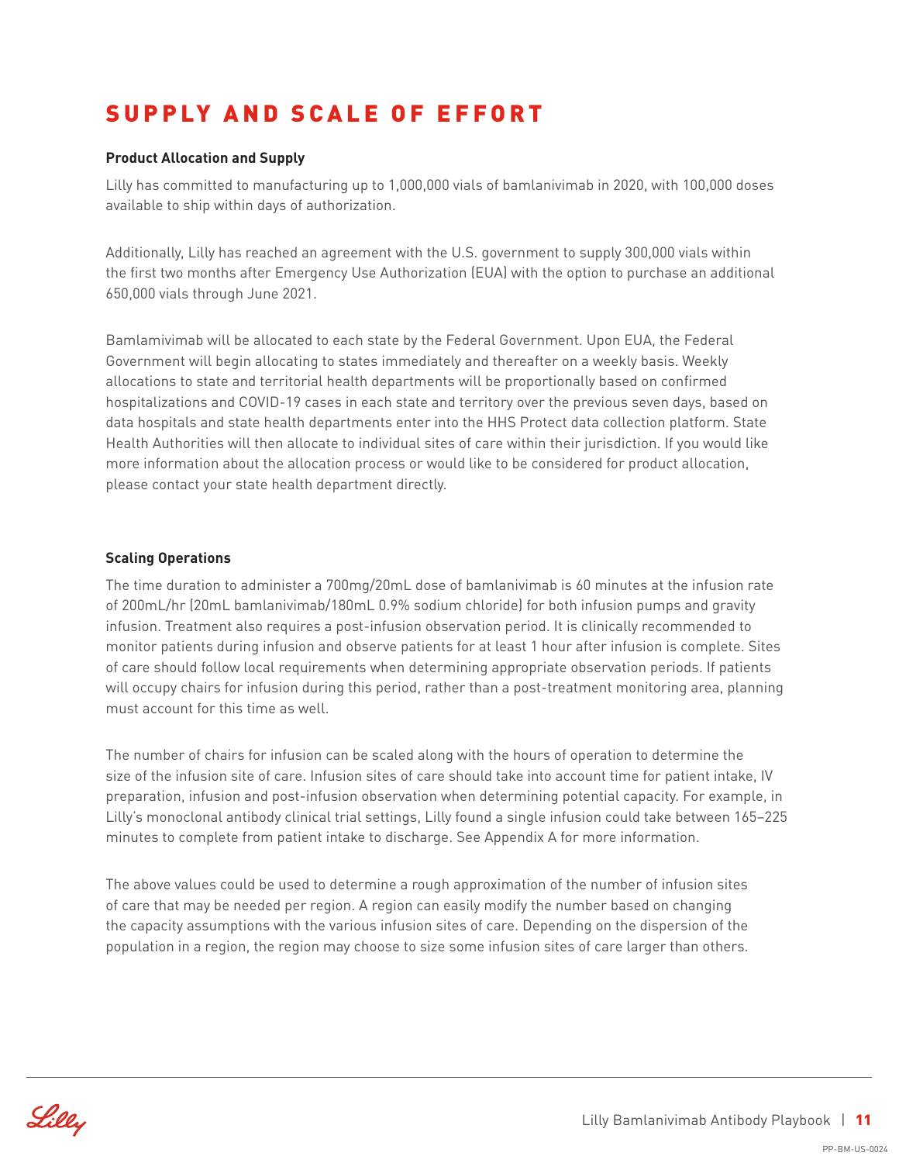## SUPPLY AND SCALE OF EFFORT

#### **Product Allocation and Supply**

Lilly has committed to manufacturing up to 1,000,000 vials of bamlanivimab in 2020, with 100,000 doses available to ship within days of authorization.

Additionally, Lilly has reached an agreement with the U.S. government to supply 300,000 vials within the first two months after Emergency Use Authorization (EUA) with the option to purchase an additional 650,000 vials through June 2021.

Bamlamivimab will be allocated to each state by the Federal Government. Upon EUA, the Federal Government will begin allocating to states immediately and thereafter on a weekly basis. Weekly allocations to state and territorial health departments will be proportionally based on confirmed hospitalizations and COVID-19 cases in each state and territory over the previous seven days, based on data hospitals and state health departments enter into the HHS Protect data collection platform. State Health Authorities will then allocate to individual sites of care within their jurisdiction. If you would like more information about the allocation process or would like to be considered for product allocation, please contact your state health department directly.

#### **Scaling Operations**

The time duration to administer a 700mg/20mL dose of bamlanivimab is 60 minutes at the infusion rate of 200mL/hr (20mL bamlanivimab/180mL 0.9% sodium chloride) for both infusion pumps and gravity infusion. Treatment also requires a post-infusion observation period. It is clinically recommended to monitor patients during infusion and observe patients for at least 1 hour after infusion is complete. Sites of care should follow local requirements when determining appropriate observation periods. If patients will occupy chairs for infusion during this period, rather than a post-treatment monitoring area, planning must account for this time as well.

The number of chairs for infusion can be scaled along with the hours of operation to determine the size of the infusion site of care. Infusion sites of care should take into account time for patient intake, IV preparation, infusion and post-infusion observation when determining potential capacity. For example, in Lilly's monoclonal antibody clinical trial settings, Lilly found a single infusion could take between 165–225 minutes to complete from patient intake to discharge. See Appendix A for more information.

The above values could be used to determine a rough approximation of the number of infusion sites of care that may be needed per region. A region can easily modify the number based on changing the capacity assumptions with the various infusion sites of care. Depending on the dispersion of the population in a region, the region may choose to size some infusion sites of care larger than others.

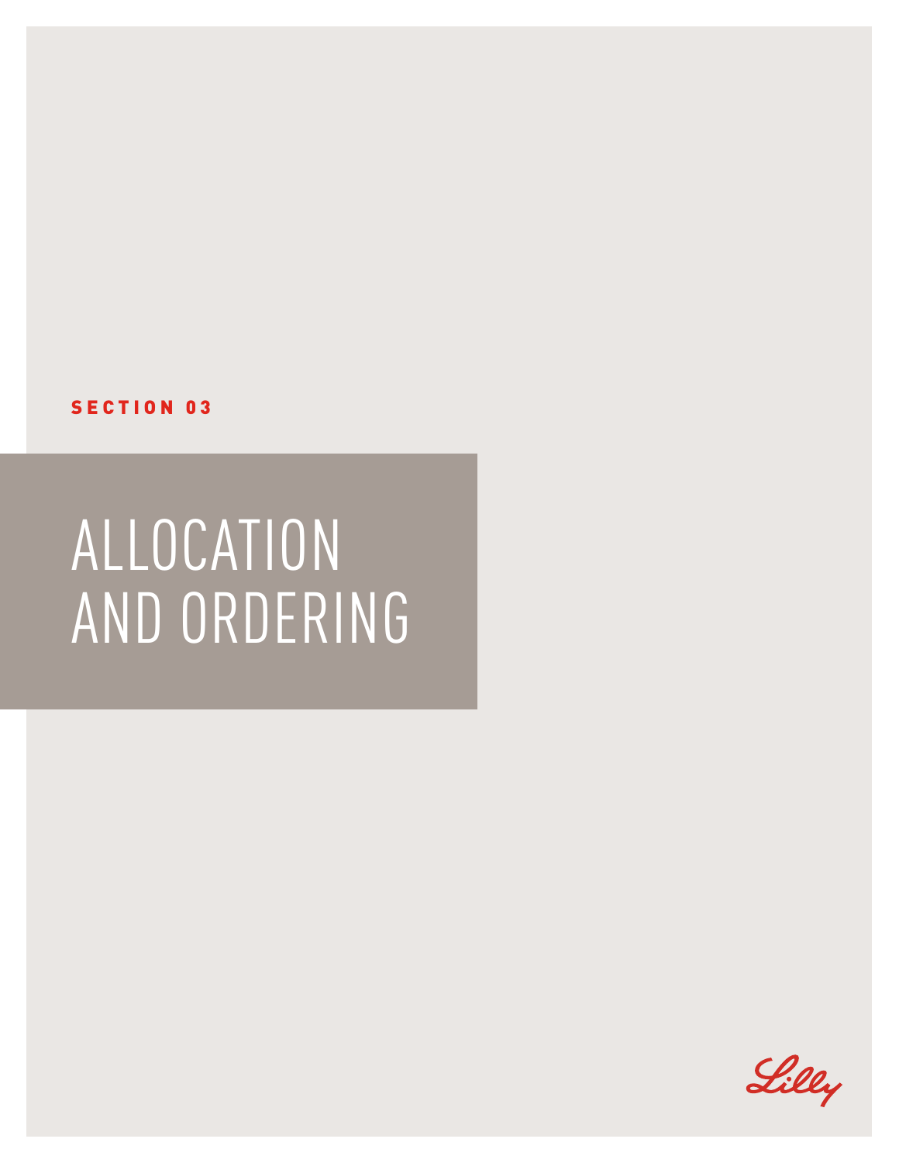#### SECTION 03

## ALLOCATION AND ORDERING

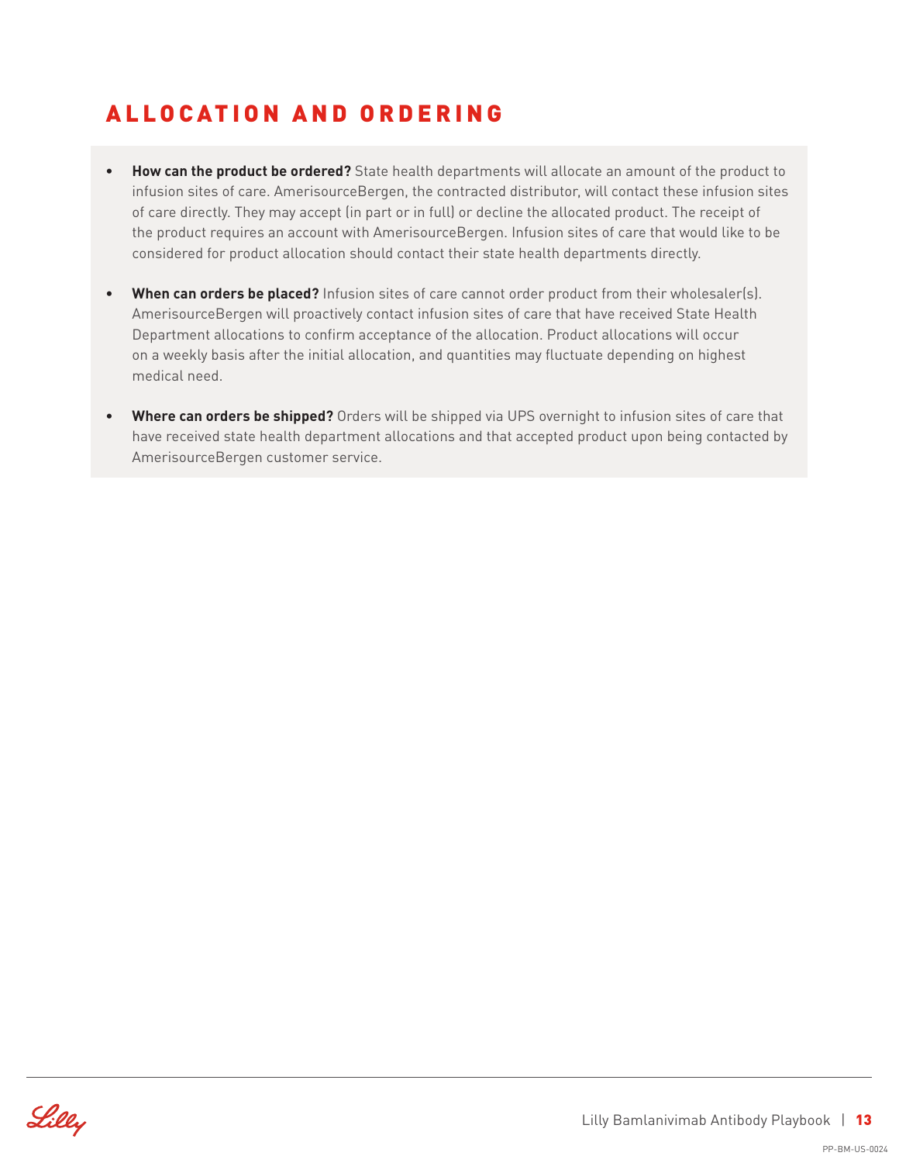## ALLOCATION AND ORDERING

- **• How can the product be ordered?** State health departments will allocate an amount of the product to infusion sites of care. AmerisourceBergen, the contracted distributor, will contact these infusion sites of care directly. They may accept (in part or in full) or decline the allocated product. The receipt of the product requires an account with AmerisourceBergen. Infusion sites of care that would like to be considered for product allocation should contact their state health departments directly.
- **• When can orders be placed?** Infusion sites of care cannot order product from their wholesaler(s). AmerisourceBergen will proactively contact infusion sites of care that have received State Health Department allocations to confirm acceptance of the allocation. Product allocations will occur on a weekly basis after the initial allocation, and quantities may fluctuate depending on highest medical need.
- **• Where can orders be shipped?** Orders will be shipped via UPS overnight to infusion sites of care that have received state health department allocations and that accepted product upon being contacted by AmerisourceBergen customer service.

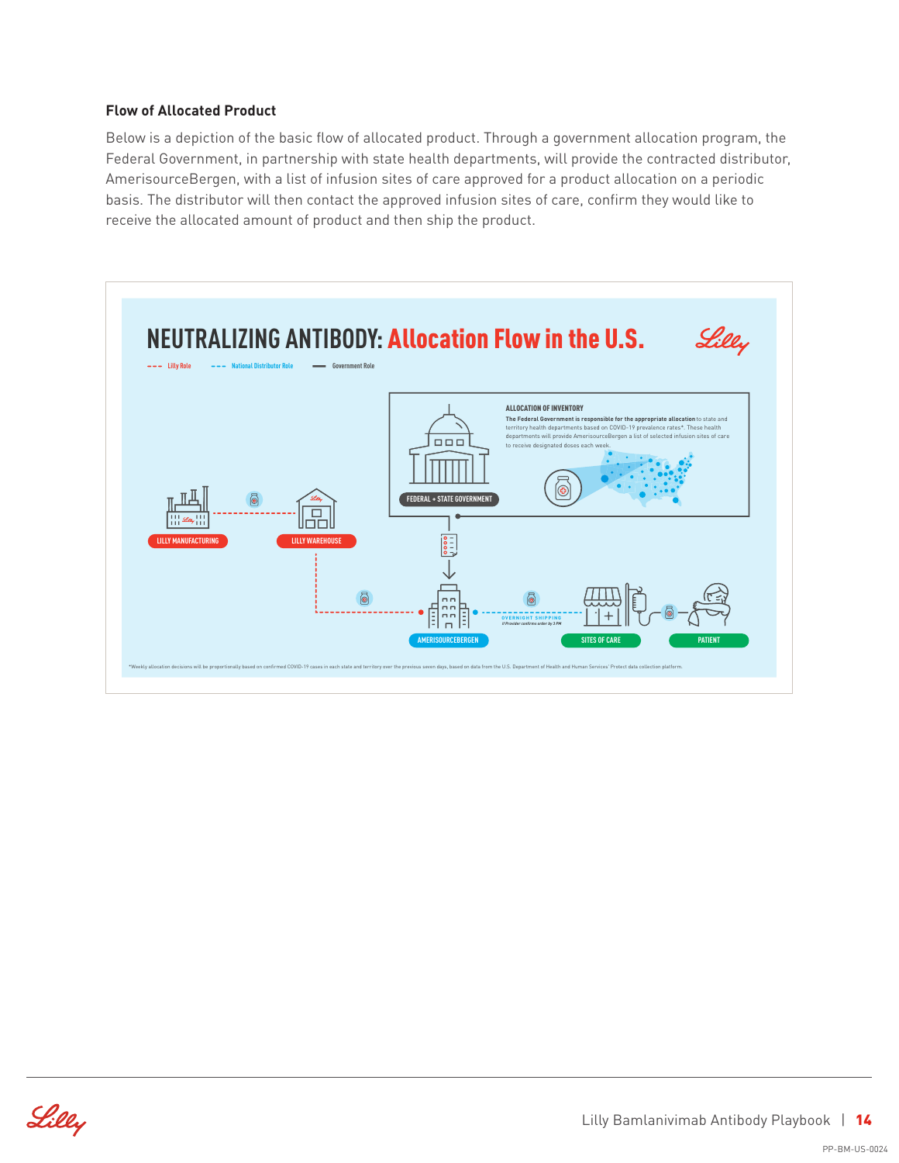#### **Flow of Allocated Product**

Below is a depiction of the basic flow of allocated product. Through a government allocation program, the Federal Government, in partnership with state health departments, will provide the contracted distributor, AmerisourceBergen, with a list of infusion sites of care approved for a product allocation on a periodic basis. The distributor will then contact the approved infusion sites of care, confirm they would like to receive the allocated amount of product and then ship the product.



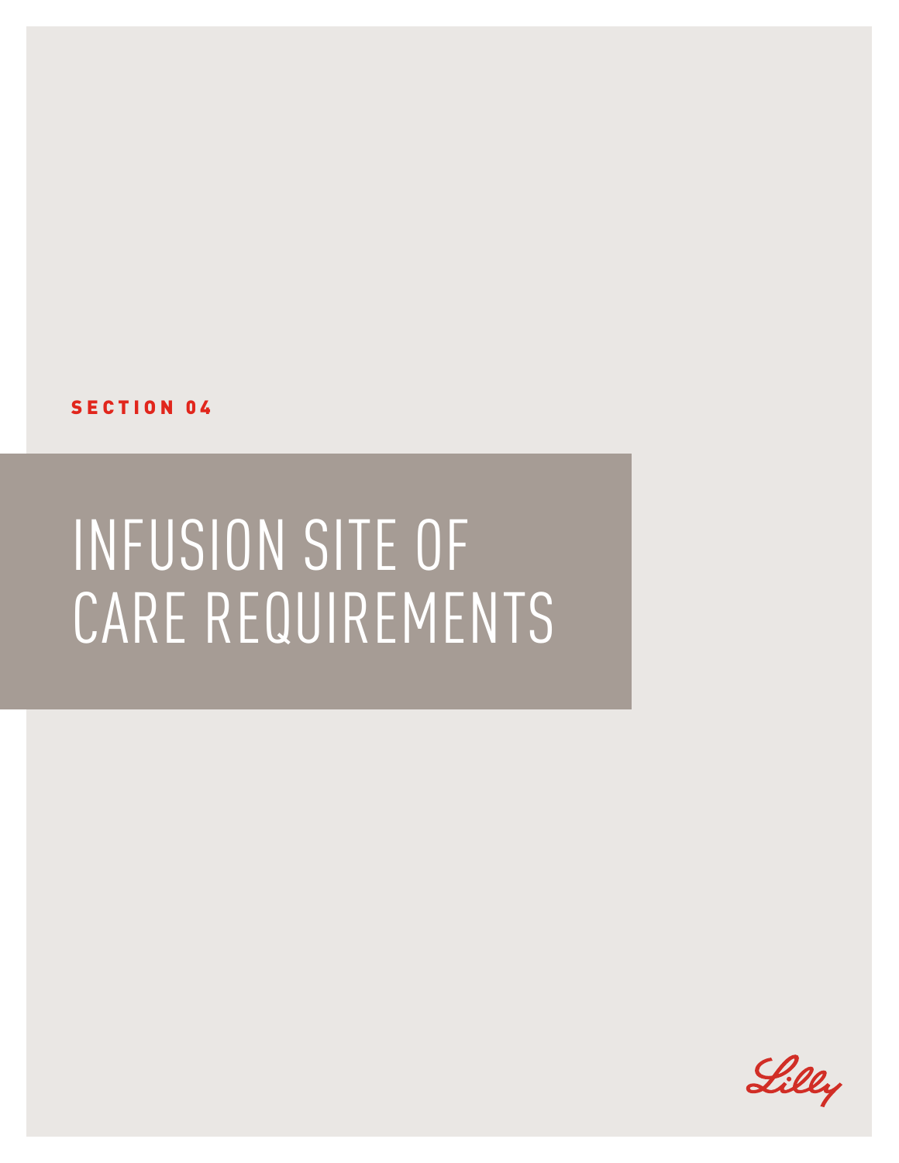

## INFUSION SITE OF CARE REQUIREMENTS

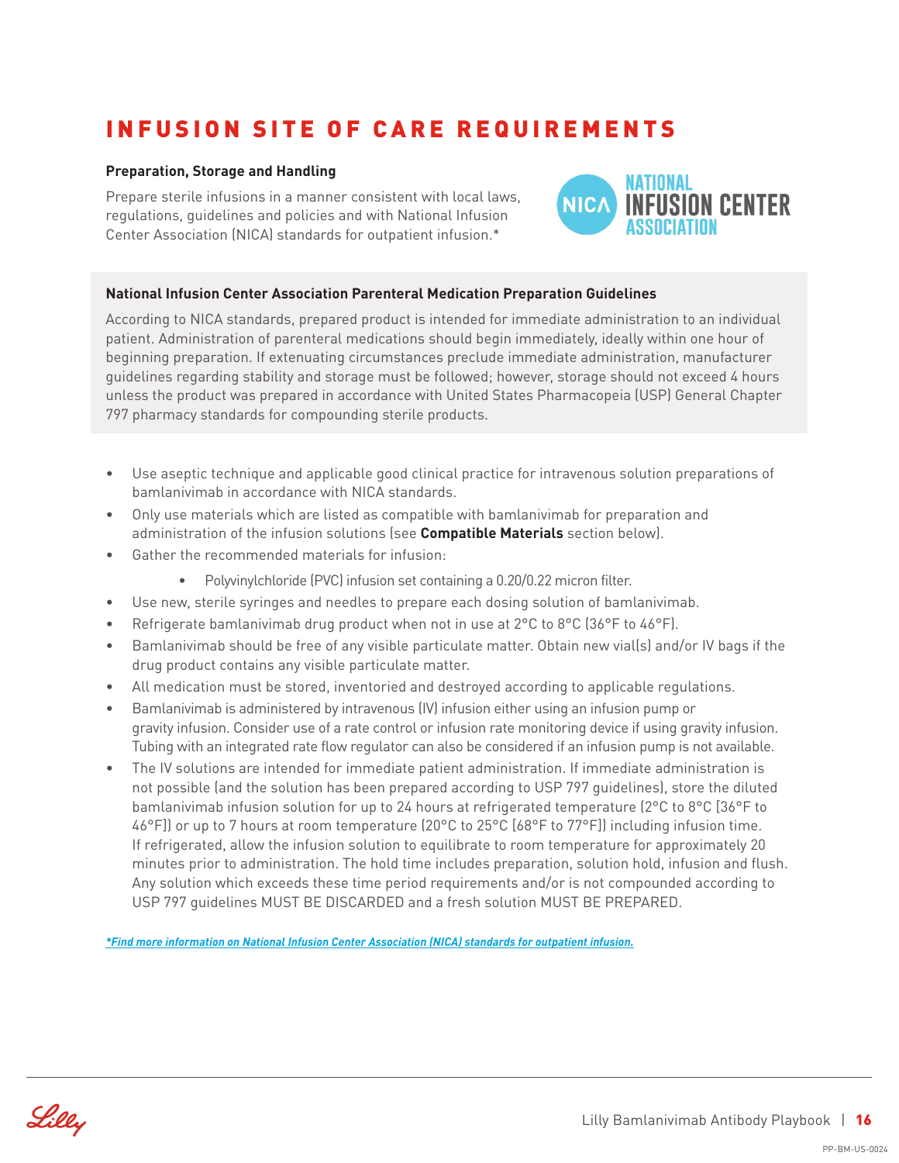## INFUSION SITE OF CARE REQUIREMENTS

#### **Preparation, Storage and Handling**

Prepare sterile infusions in a manner consistent with local laws, regulations, guidelines and policies and with National Infusion Center Association (NICA) standards for outpatient infusion.\*



#### **National Infusion Center Association Parenteral Medication Preparation Guidelines**

According to NICA standards, prepared product is intended for immediate administration to an individual patient. Administration of parenteral medications should begin immediately, ideally within one hour of beginning preparation. If extenuating circumstances preclude immediate administration, manufacturer guidelines regarding stability and storage must be followed; however, storage should not exceed 4 hours unless the product was prepared in accordance with United States Pharmacopeia (USP) General Chapter 797 pharmacy standards for compounding sterile products.

- Use aseptic technique and applicable good clinical practice for intravenous solution preparations of bamlanivimab in accordance with NICA standards.
- Only use materials which are listed as compatible with bamlanivimab for preparation and administration of the infusion solutions (see **Compatible Materials** section below).
- Gather the recommended materials for infusion:
	- Polyvinylchloride (PVC) infusion set containing a 0.20/0.22 micron filter.
- Use new, sterile syringes and needles to prepare each dosing solution of bamlanivimab.
- Refrigerate bamlanivimab drug product when not in use at  $2^{\circ}C$  to  $8^{\circ}C$  (36°F to 46°F).
- Bamlanivimab should be free of any visible particulate matter. Obtain new vial(s) and/or IV bags if the drug product contains any visible particulate matter.
- All medication must be stored, inventoried and destroyed according to applicable regulations.
- Bamlanivimab is administered by intravenous (IV) infusion either using an infusion pump or gravity infusion. Consider use of a rate control or infusion rate monitoring device if using gravity infusion. Tubing with an integrated rate flow regulator can also be considered if an infusion pump is not available.
- The IV solutions are intended for immediate patient administration. If immediate administration is not possible (and the solution has been prepared according to USP 797 guidelines), store the diluted bamlanivimab infusion solution for up to 24 hours at refrigerated temperature (2°C to 8°C [36°F to 46°F]) or up to 7 hours at room temperature (20°C to 25°C [68°F to 77°F]) including infusion time. If refrigerated, allow the infusion solution to equilibrate to room temperature for approximately 20 minutes prior to administration. The hold time includes preparation, solution hold, infusion and flush. Any solution which exceeds these time period requirements and/or is not compounded according to USP 797 guidelines MUST BE DISCARDED and a fresh solution MUST BE PREPARED.

*[\\*Find more information on National Infusion Center Association \(NICA\) standards for outpatient infusion.](https://infusioncenter.org/bestpractices/)*

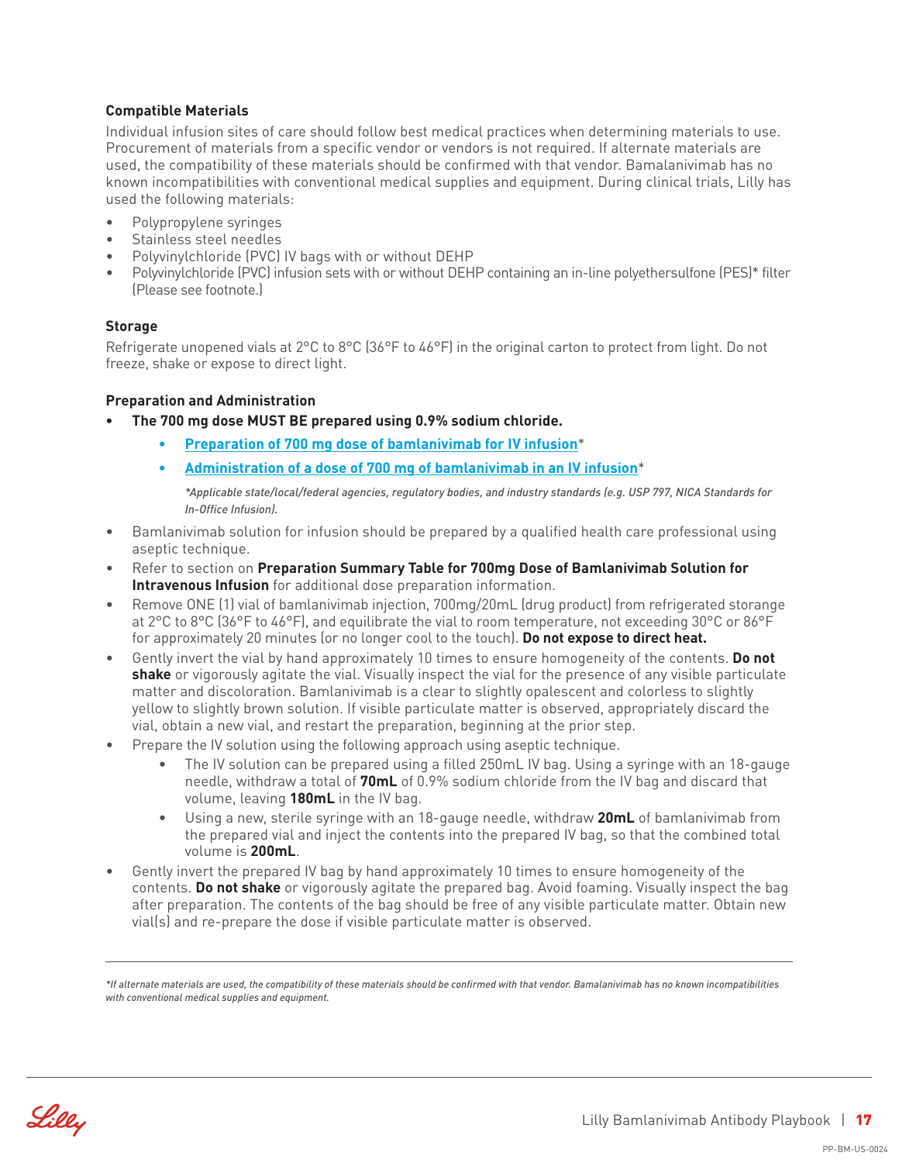#### **Compatible Materials**

Individual infusion sites of care should follow best medical practices when determining materials to use. Procurement of materials from a specific vendor or vendors is not required. If alternate materials are used, the compatibility of these materials should be confirmed with that vendor. Bamalanivimab has no known incompatibilities with conventional medical supplies and equipment. During clinical trials, Lilly has used the following materials:

- Polypropylene syringes
- Stainless steel needles
- Polyvinylchloride (PVC) IV bags with or without DEHP
- Polyvinylchloride (PVC) infusion sets with or without DEHP containing an in-line polyethersulfone (PES)\* filter (Please see footnote.)

#### **Storage**

Refrigerate unopened vials at 2°C to 8°C (36°F to 46°F) in the original carton to protect from light. Do not freeze, shake or expose to direct light.

#### **Preparation and Administration**

- **• The 700 mg dose MUST BE prepared using 0.9% sodium chloride.**
	- **• [Preparation of 700 mg dose of bamlanivimab for IV infusion](http://www.kaltura.com/tiny/z205c)**\*
	- **• [Administration of a dose of 700 mg of bamlanivimab in an IV infusion](http://www.kaltura.com/tiny/ofcrw)**\*

*\*Applicable state/local/federal agencies, regulatory bodies, and industry standards (e.g. USP 797, NICA Standards for In-Office Infusion).*

- Bamlanivimab solution for infusion should be prepared by a qualified health care professional using aseptic technique.
- Refer to section on **Preparation Summary Table for 700mg Dose of Bamlanivimab Solution for Intravenous Infusion** for additional dose preparation information.
- Remove ONE (1) vial of bamlanivimab injection, 700mg/20mL (drug product) from refrigerated storange at 2°C to 8°C (36°F to 46°F), and equilibrate the vial to room temperature, not exceeding 30°C or 86°F for approximately 20 minutes (or no longer cool to the touch). **Do not expose to direct heat.**
- Gently invert the vial by hand approximately 10 times to ensure homogeneity of the contents. **Do not shake** or vigorously agitate the vial. Visually inspect the vial for the presence of any visible particulate matter and discoloration. Bamlanivimab is a clear to slightly opalescent and colorless to slightly yellow to slightly brown solution. If visible particulate matter is observed, appropriately discard the vial, obtain a new vial, and restart the preparation, beginning at the prior step.
- Prepare the IV solution using the following approach using aseptic technique.
	- The IV solution can be prepared using a filled 250mL IV bag. Using a syringe with an 18-gauge needle, withdraw a total of **70mL** of 0.9% sodium chloride from the IV bag and discard that volume, leaving **180mL** in the IV bag.
	- Using a new, sterile syringe with an 18-gauge needle, withdraw **20mL** of bamlanivimab from the prepared vial and inject the contents into the prepared IV bag, so that the combined total volume is **200mL**.
- Gently invert the prepared IV bag by hand approximately 10 times to ensure homogeneity of the contents. **Do not shake** or vigorously agitate the prepared bag. Avoid foaming. Visually inspect the bag after preparation. The contents of the bag should be free of any visible particulate matter. Obtain new vial(s) and re-prepare the dose if visible particulate matter is observed.

*\*If alternate materials are used, the compatibility of these materials should be confirmed with that vendor. Bamalanivimab has no known incompatibilities with conventional medical supplies and equipment.*

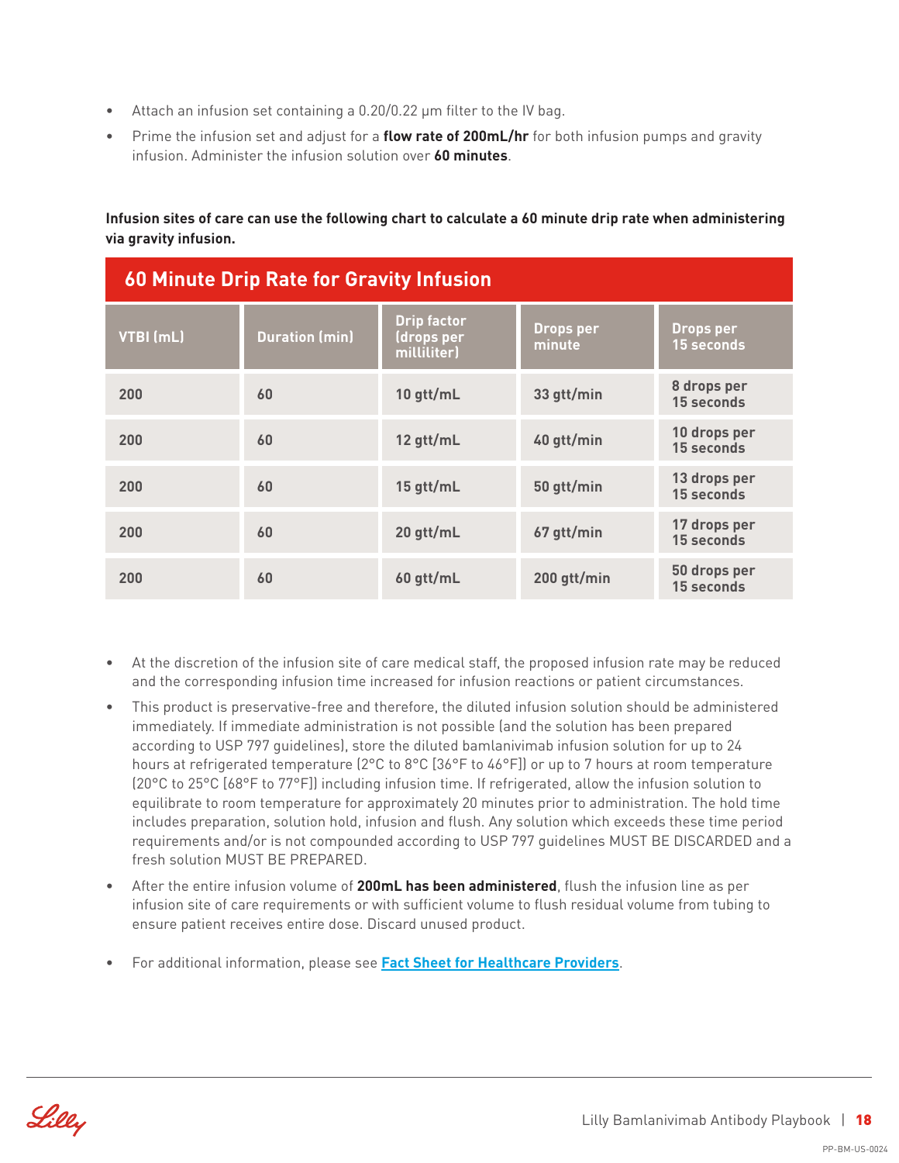- Attach an infusion set containing a 0.20/0.22 µm filter to the IV bag.
- Prime the infusion set and adjust for a **flow rate of 200mL/hr** for both infusion pumps and gravity infusion. Administer the infusion solution over **60 minutes**.

**Infusion sites of care can use the following chart to calculate a 60 minute drip rate when administering via gravity infusion.**

| <b>60 Minute Drip Rate for Gravity Infusion</b> |                       |                                                 |                            |                                   |
|-------------------------------------------------|-----------------------|-------------------------------------------------|----------------------------|-----------------------------------|
| VTBI (mL)                                       | <b>Duration (min)</b> | <b>Drip factor</b><br>(drops per<br>milliliter) | <b>Drops per</b><br>minute | Drops per<br><b>15 seconds</b>    |
| 200                                             | 60                    | 10 gtt/mL                                       | 33 gtt/min                 | 8 drops per<br>15 seconds         |
| 200                                             | 60                    | 12 gtt/mL                                       | 40 gtt/min                 | 10 drops per<br>15 seconds        |
| 200                                             | 60                    | 15 gtt/mL                                       | 50 gtt/min                 | 13 drops per<br>15 seconds        |
| 200                                             | 60                    | 20 gtt/mL                                       | 67 gtt/min                 | 17 drops per<br><b>15 seconds</b> |
| 200                                             | 60                    | 60 gtt/mL                                       | 200 gtt/min                | 50 drops per<br>15 seconds        |

- At the discretion of the infusion site of care medical staff, the proposed infusion rate may be reduced and the corresponding infusion time increased for infusion reactions or patient circumstances.
- This product is preservative-free and therefore, the diluted infusion solution should be administered immediately. If immediate administration is not possible (and the solution has been prepared according to USP 797 guidelines), store the diluted bamlanivimab infusion solution for up to 24 hours at refrigerated temperature (2°C to 8°C [36°F to 46°F]) or up to 7 hours at room temperature (20°C to 25°C [68°F to 77°F]) including infusion time. If refrigerated, allow the infusion solution to equilibrate to room temperature for approximately 20 minutes prior to administration. The hold time includes preparation, solution hold, infusion and flush. Any solution which exceeds these time period requirements and/or is not compounded according to USP 797 guidelines MUST BE DISCARDED and a fresh solution MUST BE PREPARED.
- After the entire infusion volume of **200mL has been administered**, flush the infusion line as per infusion site of care requirements or with sufficient volume to flush residual volume from tubing to ensure patient receives entire dose. Discard unused product.
- For additional information, please see **[Fact Sheet for Healthcare Providers](http://pi.lilly.com/eua/bamlanivimab-eua-factsheet-hcp.pdf)**.

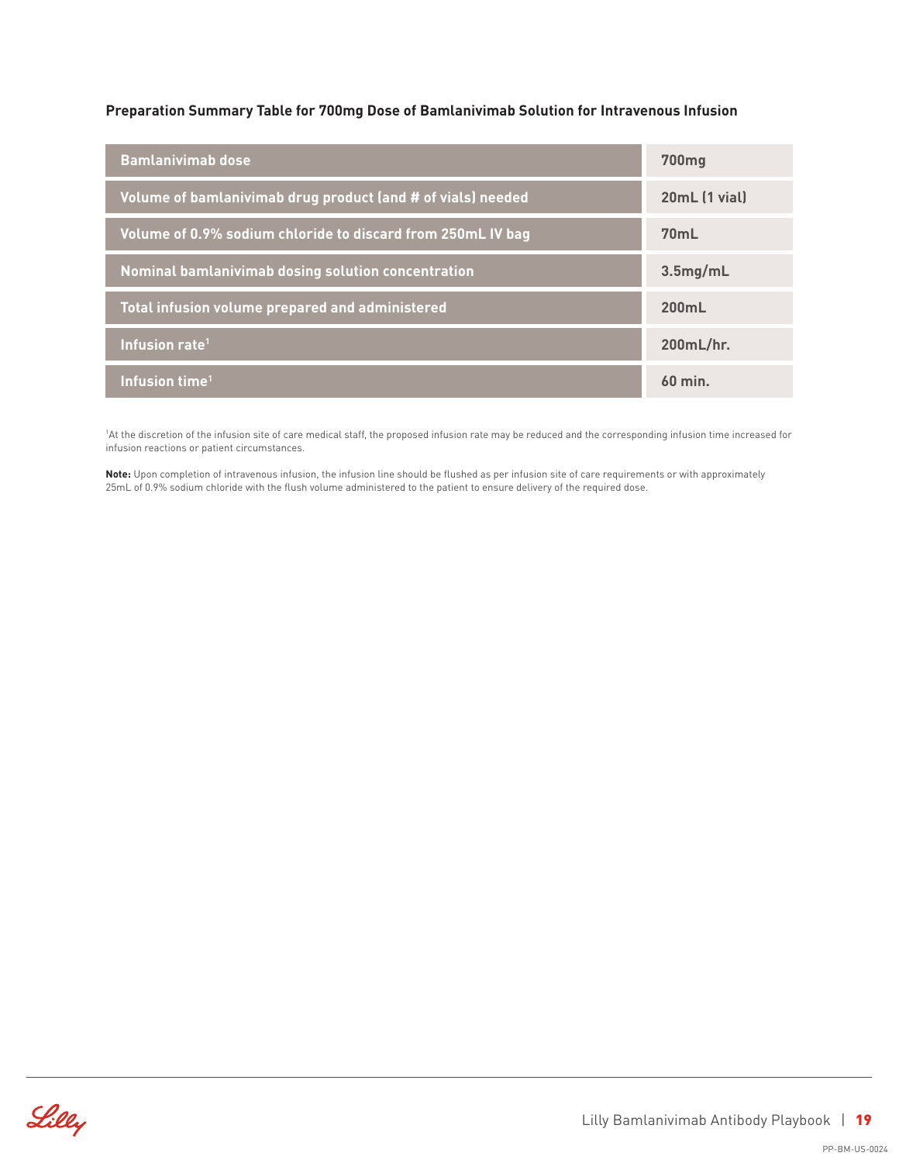#### **Preparation Summary Table for 700mg Dose of Bamlanivimab Solution for Intravenous Infusion**

| <b>Bamlanivimab dose</b>                                    | 700 <sub>mg</sub> |
|-------------------------------------------------------------|-------------------|
| Volume of bamlanivimab drug product (and # of vials) needed | 20mL (1 vial)     |
| Volume of 0.9% sodium chloride to discard from 250mL IV bag | <b>70mL</b>       |
| Nominal bamlanivimab dosing solution concentration          | 3.5mg/mL          |
| Total infusion volume prepared and administered             | 200mL             |
| Infusion rate <sup>1</sup>                                  | 200mL/hr.         |
| Infusion time <sup>1</sup>                                  | $60$ min.         |

<sup>1</sup>At the discretion of the infusion site of care medical staff, the proposed infusion rate may be reduced and the corresponding infusion time increased for infusion reactions or patient circumstances.

**Note:** Upon completion of intravenous infusion, the infusion line should be flushed as per infusion site of care requirements or with approximately 25mL of 0.9% sodium chloride with the flush volume administered to the patient to ensure delivery of the required dose.

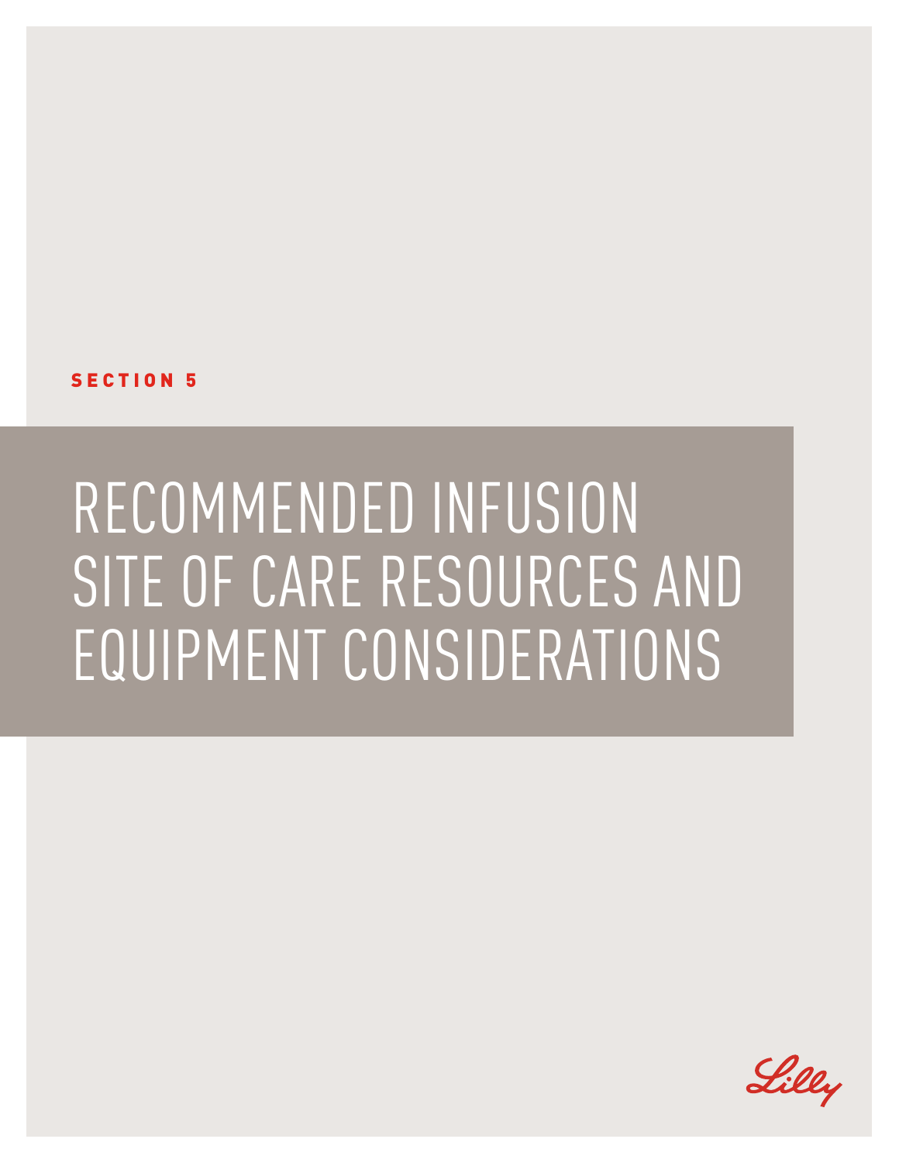SECTION 5

## RECOMMENDED INFUSION SITE OF CARE RESOURCES AND EQUIPMENT CONSIDERATIONS

Lilly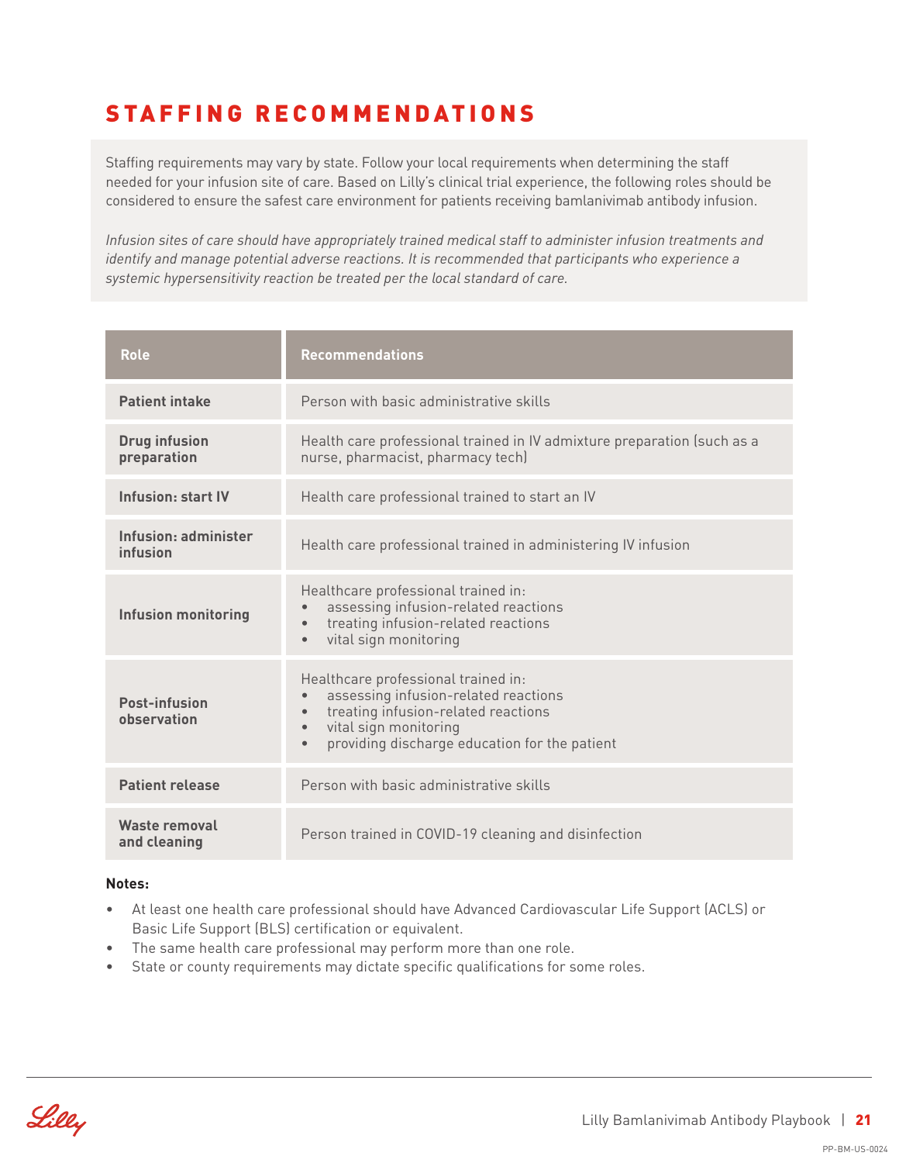### STAFFING RECOMMENDATIONS

Staffing requirements may vary by state. Follow your local requirements when determining the staff needed for your infusion site of care. Based on Lilly's clinical trial experience, the following roles should be considered to ensure the safest care environment for patients receiving bamlanivimab antibody infusion.

*Infusion sites of care should have appropriately trained medical staff to administer infusion treatments and identify and manage potential adverse reactions. It is recommended that participants who experience a systemic hypersensitivity reaction be treated per the local standard of care.*

| Role                                 | <b>Recommendations</b>                                                                                                                                                                                                 |  |
|--------------------------------------|------------------------------------------------------------------------------------------------------------------------------------------------------------------------------------------------------------------------|--|
| <b>Patient intake</b>                | Person with basic administrative skills                                                                                                                                                                                |  |
| <b>Drug infusion</b><br>preparation  | Health care professional trained in IV admixture preparation (such as a<br>nurse, pharmacist, pharmacy tech)                                                                                                           |  |
| Infusion: start IV                   | Health care professional trained to start an IV                                                                                                                                                                        |  |
| Infusion: administer<br>infusion     | Health care professional trained in administering IV infusion                                                                                                                                                          |  |
| <b>Infusion monitoring</b>           | Healthcare professional trained in:<br>assessing infusion-related reactions<br>treating infusion-related reactions<br>vital sign monitoring                                                                            |  |
| <b>Post-infusion</b><br>observation  | Healthcare professional trained in:<br>assessing infusion-related reactions<br>treating infusion-related reactions<br>vital sign monitoring<br>$\bullet$<br>providing discharge education for the patient<br>$\bullet$ |  |
| <b>Patient release</b>               | Person with basic administrative skills                                                                                                                                                                                |  |
| <b>Waste removal</b><br>and cleaning | Person trained in COVID-19 cleaning and disinfection                                                                                                                                                                   |  |

#### **Notes:**

- At least one health care professional should have Advanced Cardiovascular Life Support (ACLS) or Basic Life Support (BLS) certification or equivalent.
- The same health care professional may perform more than one role.
- State or county requirements may dictate specific qualifications for some roles.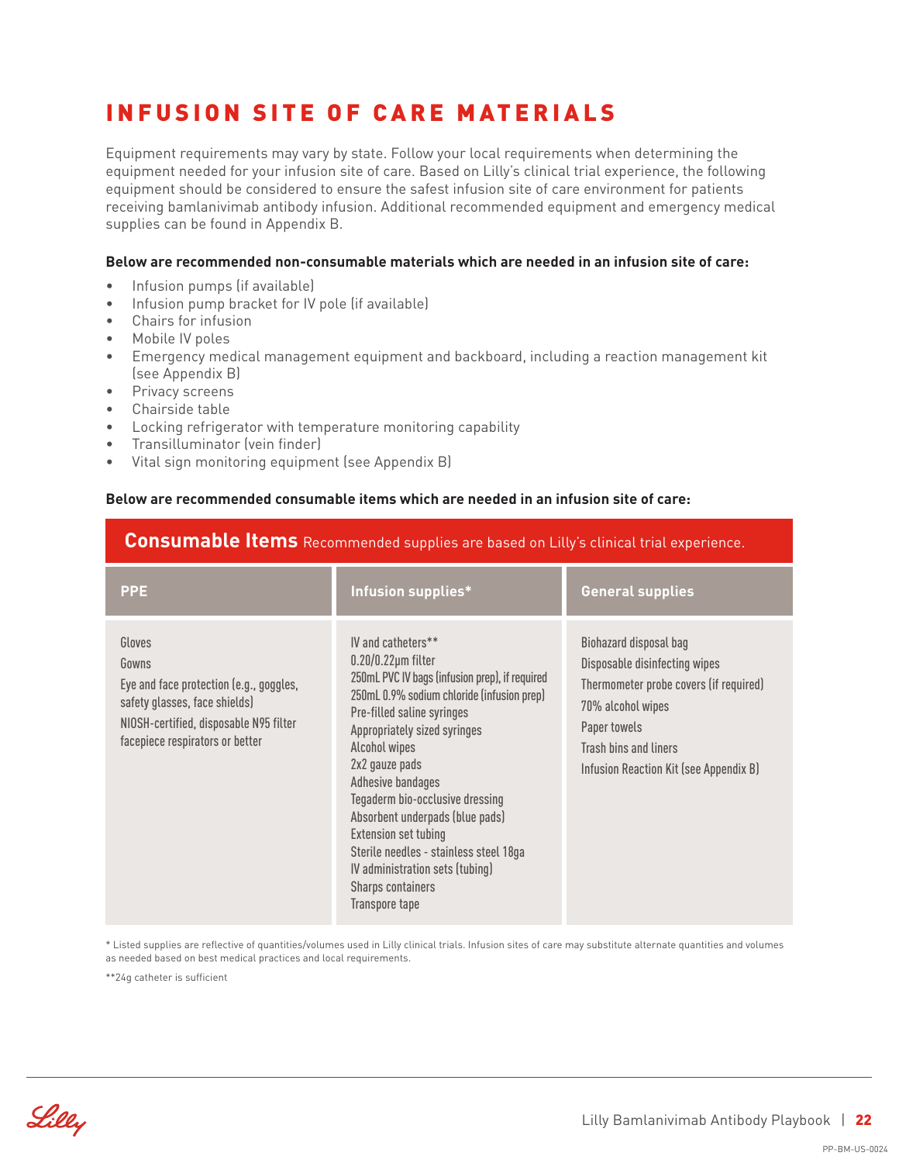## INFUSION SITE OF CARE MATERIALS

Equipment requirements may vary by state. Follow your local requirements when determining the equipment needed for your infusion site of care. Based on Lilly's clinical trial experience, the following equipment should be considered to ensure the safest infusion site of care environment for patients receiving bamlanivimab antibody infusion. Additional recommended equipment and emergency medical supplies can be found in Appendix B.

#### **Below are recommended non-consumable materials which are needed in an infusion site of care:**

- Infusion pumps (if available)
- Infusion pump bracket for IV pole (if available)
- Chairs for infusion
- Mobile IV poles
- Emergency medical management equipment and backboard, including a reaction management kit (see Appendix B)
- Privacy screens
- Chairside table
- Locking refrigerator with temperature monitoring capability
- Transilluminator (vein finder)
- Vital sign monitoring equipment (see Appendix B)

#### **Below are recommended consumable items which are needed in an infusion site of care:**

#### **Consumable Items** Recommended supplies are based on Lilly's clinical trial experience.

| <b>PPE</b>                                                                                                                                                               | Infusion supplies*                                                                                                                                                                                                                                                                                                                                                                                                                                                                                          | <b>General supplies</b>                                                                                                                                                                                   |
|--------------------------------------------------------------------------------------------------------------------------------------------------------------------------|-------------------------------------------------------------------------------------------------------------------------------------------------------------------------------------------------------------------------------------------------------------------------------------------------------------------------------------------------------------------------------------------------------------------------------------------------------------------------------------------------------------|-----------------------------------------------------------------------------------------------------------------------------------------------------------------------------------------------------------|
| Gloves<br>Gowns<br>Eye and face protection (e.g., goggles,<br>safety glasses, face shields)<br>NIOSH-certified, disposable N95 filter<br>facepiece respirators or better | IV and catheters**<br>$0.20/0.22 \mu m$ filter<br>250mL PVC IV bags (infusion prep), if required<br>250mL 0.9% sodium chloride (infusion prep)<br>Pre-filled saline syringes<br>Appropriately sized syringes<br>Alcohol wipes<br>2x2 gauze pads<br><b>Adhesive bandages</b><br>Tegaderm bio-occlusive dressing<br>Absorbent underpads (blue pads)<br><b>Extension set tubing</b><br>Sterile needles - stainless steel 18ga<br>IV administration sets (tubing)<br><b>Sharps containers</b><br>Transpore tape | Biohazard disposal bag<br>Disposable disinfecting wipes<br>Thermometer probe covers (if required)<br>70% alcohol wipes<br>Paper towels<br>Trash bins and liners<br>Infusion Reaction Kit (see Appendix B) |

\* Listed supplies are reflective of quantities/volumes used in Lilly clinical trials. Infusion sites of care may substitute alternate quantities and volumes as needed based on best medical practices and local requirements.

\*\*24g catheter is sufficient

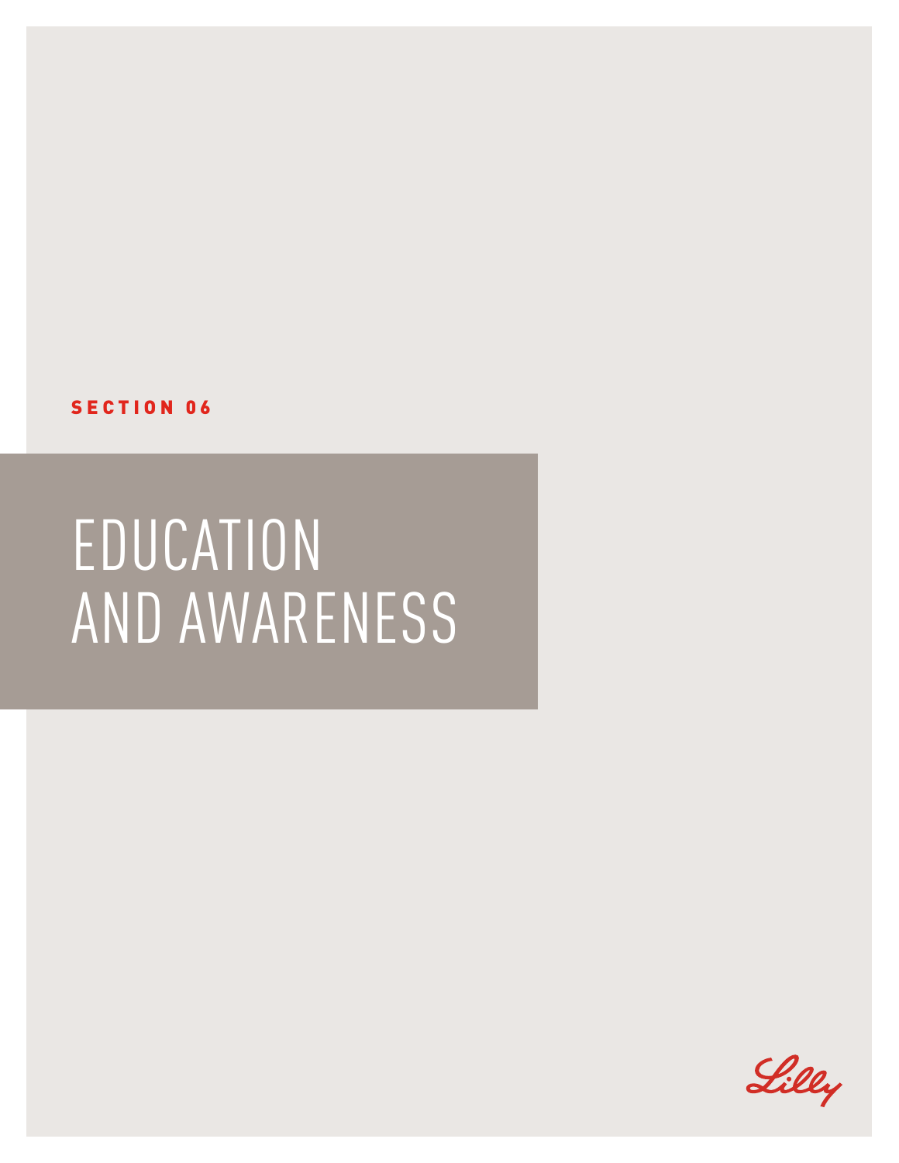SECTION 06

## EDUCATION AND AWARENESS

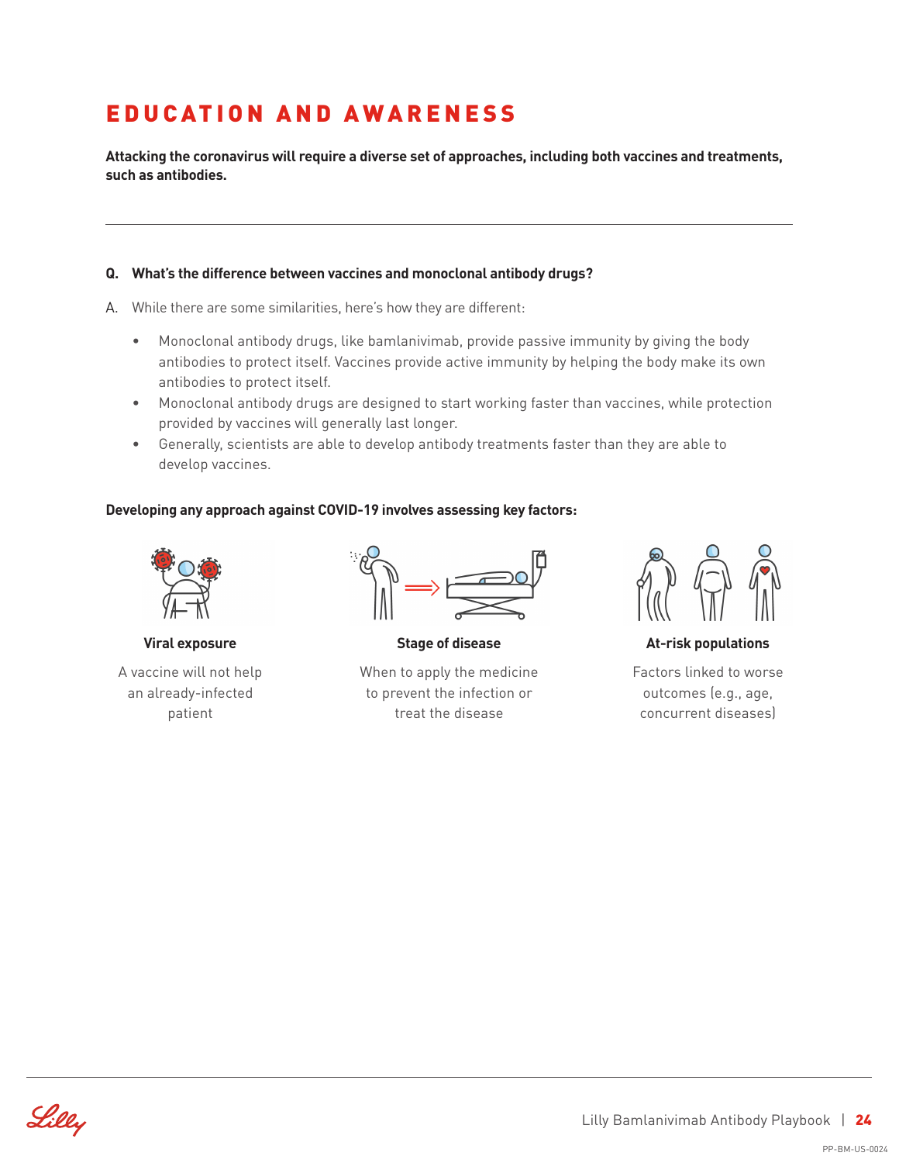## EDUCATION AND AWARENESS

**Attacking the coronavirus will require a diverse set of approaches, including both vaccines and treatments, such as antibodies.**

#### **Q. What's the difference between vaccines and monoclonal antibody drugs?**

- A. While there are some similarities, here's how they are different:
	- Monoclonal antibody drugs, like bamlanivimab, provide passive immunity by giving the body antibodies to protect itself. Vaccines provide active immunity by helping the body make its own antibodies to protect itself.
	- Monoclonal antibody drugs are designed to start working faster than vaccines, while protection provided by vaccines will generally last longer.
	- Generally, scientists are able to develop antibody treatments faster than they are able to develop vaccines.

#### **Developing any approach against COVID-19 involves assessing key factors:**



**Viral exposure**

A vaccine will not help an already-infected patient



**Stage of disease**

When to apply the medicine to prevent the infection or treat the disease



**At-risk populations**

Factors linked to worse outcomes (e.g., age, concurrent diseases)

Lilly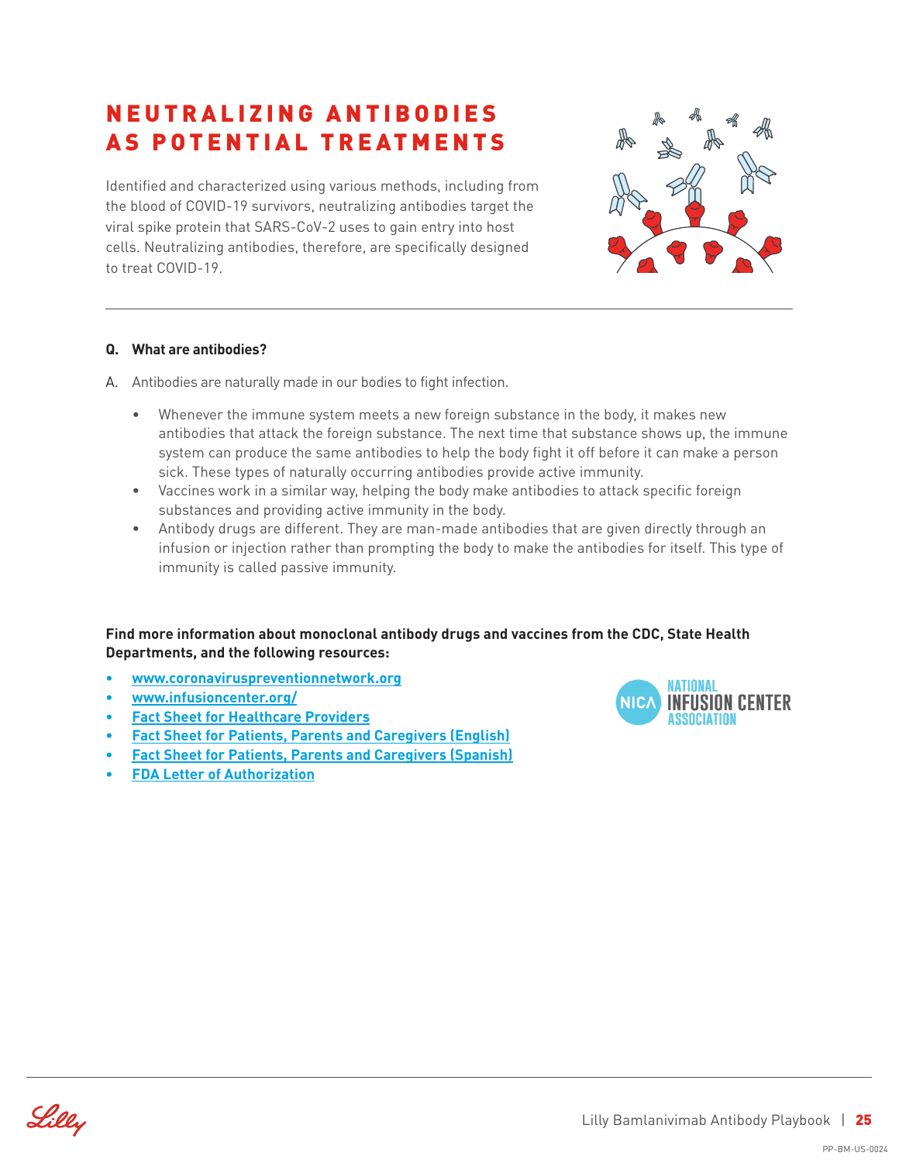### N E U T R A L I Z I N G A N T I B O D I E S AS POTENTIAL TREATMENTS

Identified and characterized using various methods, including from the blood of COVID-19 survivors, neutralizing antibodies target the viral spike protein that SARS-CoV-2 uses to gain entry into host cells. Neutralizing antibodies, therefore, are specifically designed to treat COVID-19.



#### **Q. What are antibodies?**

- A. Antibodies are naturally made in our bodies to fight infection.
	- Whenever the immune system meets a new foreign substance in the body, it makes new antibodies that attack the foreign substance. The next time that substance shows up, the immune system can produce the same antibodies to help the body fight it off before it can make a person sick. These types of naturally occurring antibodies provide active immunity.
	- Vaccines work in a similar way, helping the body make antibodies to attack specific foreign substances and providing active immunity in the body.
	- Antibody drugs are different. They are man-made antibodies that are given directly through an infusion or injection rather than prompting the body to make the antibodies for itself. This type of immunity is called passive immunity.

#### **Find more information about monoclonal antibody drugs and vaccines from the CDC, State Health Departments, and the following resources:**

- **• www.coronaviruspreventionnetwork.org**
- **• www.infusioncenter.org/**
- **• [Fact Sheet for Healthcare Providers](http://pi.lilly.com/eua/bamlanivimab-eua-factsheet-hcp.pdf)**
- **• [Fact Sheet for Patients, Parents and Caregivers \(English\)](http://pi.lilly.com/eua/bamlanivimab-eua-factsheet-patient.pdf)**
- **• [Fact Sheet for Patients, Parents and Caregivers \(Spanish\)](http://pi.lilly.com/eua/span/bamlanivimab-eua-factsheet-patient-span.pdf)**
- **• [FDA Letter of Authorization](http://pi.lilly.com/eua/bamlanivimab-eua-fda-authorization-letter.pdf)**



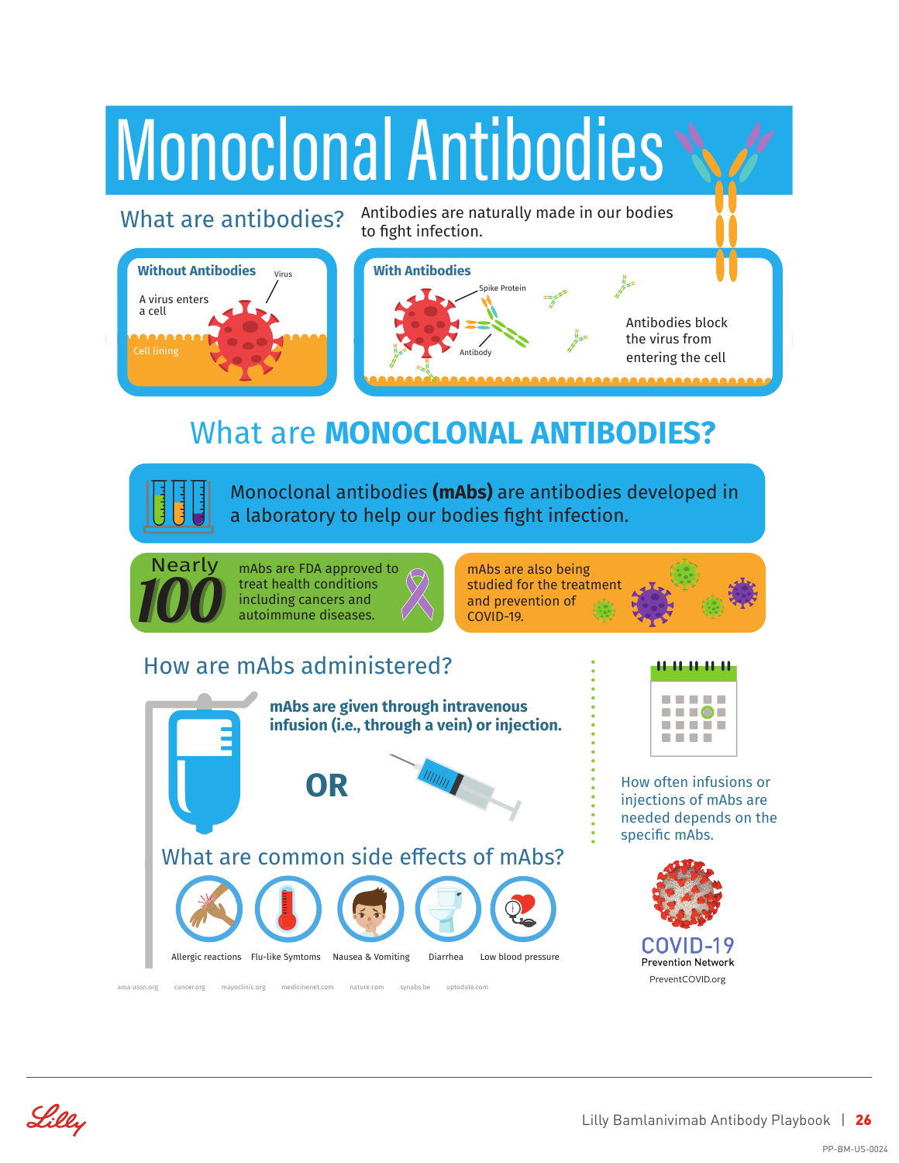

## What are **MONOCLONAL ANTIBODIES?**

Monoclonal antibodies **(mAbs)** are antibodies developed in a laboratory to help our bodies fght infection.



mAbs are FDA approved to treat health conditions including cancers and autoimmune diseases.

mAbs are also being studied for the treatment and prevention of COVID-19.

### How are mAbs administered?





. . . . . .

. . . . How often infusions or injections of mAbs are

needed depends on the specifc mAbs.



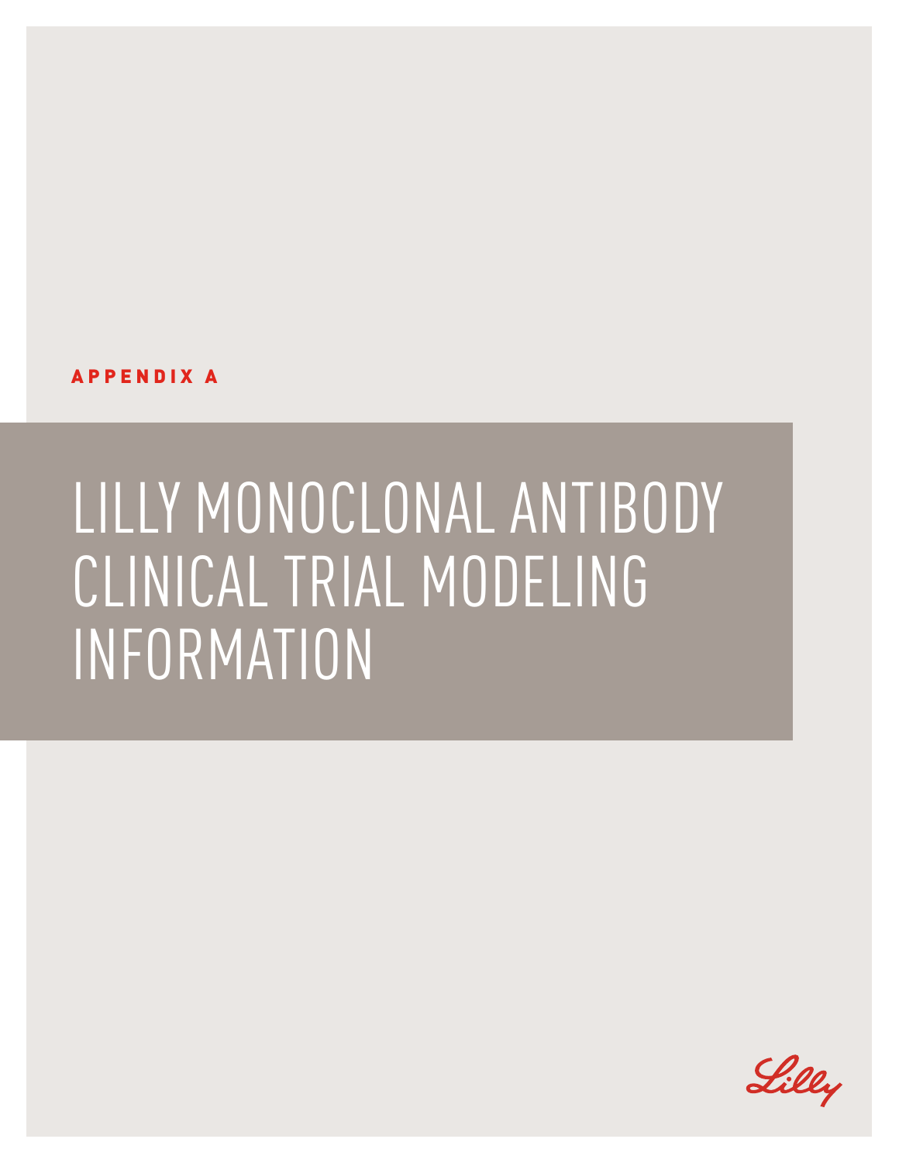APPENDIX A

## LILLY MONOCLONAL ANTIBODY CLINICAL TRIAL MODELING INFORMATION

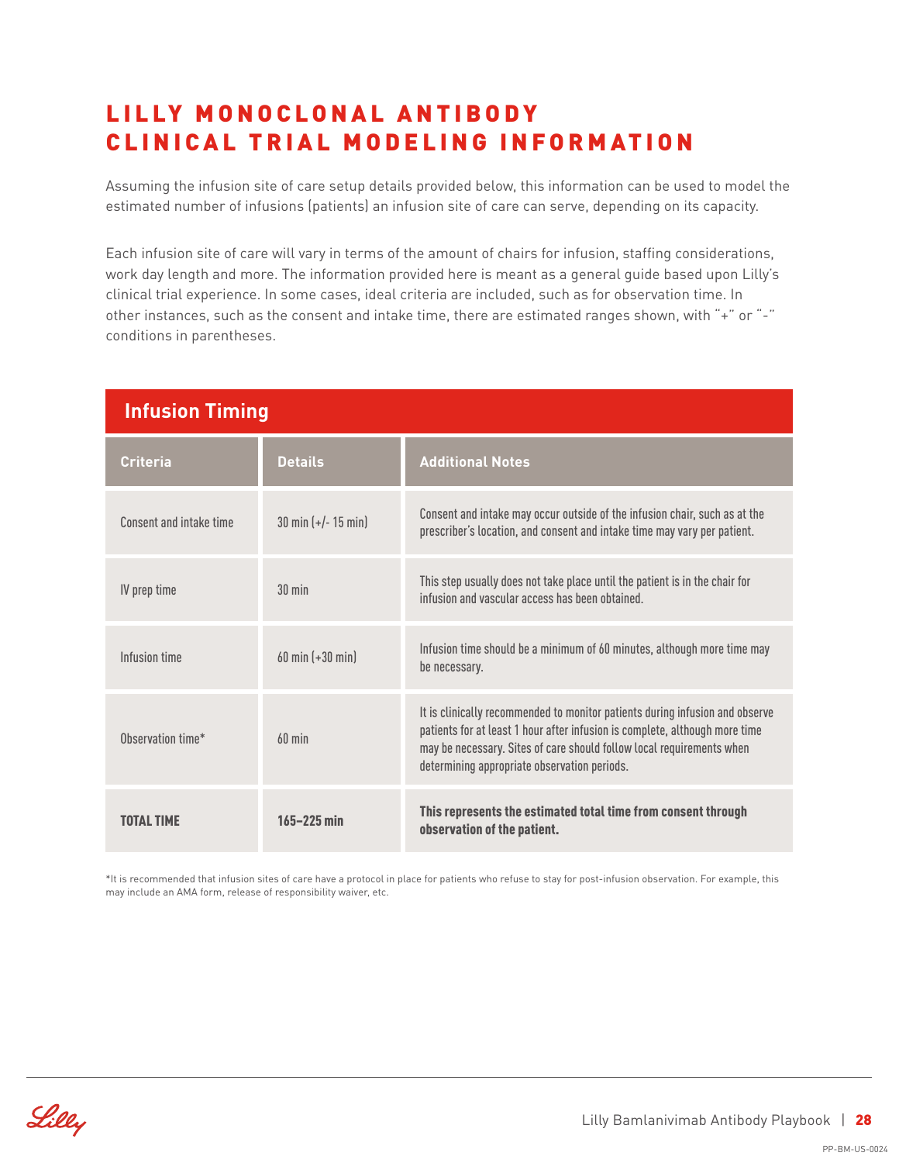### LILLY MONOCLONAL ANTIBODY CLINICAL TRIAL MODELING INFORMATION

Assuming the infusion site of care setup details provided below, this information can be used to model the estimated number of infusions (patients) an infusion site of care can serve, depending on its capacity.

Each infusion site of care will vary in terms of the amount of chairs for infusion, staffing considerations, work day length and more. The information provided here is meant as a general guide based upon Lilly's clinical trial experience. In some cases, ideal criteria are included, such as for observation time. In other instances, such as the consent and intake time, there are estimated ranges shown, with "+" or "-" conditions in parentheses.

| <b>Infusion Timing</b>  |                                        |                                                                                                                                                                                                                                                                                      |
|-------------------------|----------------------------------------|--------------------------------------------------------------------------------------------------------------------------------------------------------------------------------------------------------------------------------------------------------------------------------------|
| <b>Criteria</b>         | <b>Details</b>                         | <b>Additional Notes</b>                                                                                                                                                                                                                                                              |
| Consent and intake time | $30 \text{ min } (+/- 15 \text{ min})$ | Consent and intake may occur outside of the infusion chair, such as at the<br>prescriber's location, and consent and intake time may vary per patient.                                                                                                                               |
| IV prep time            | $30$ min                               | This step usually does not take place until the patient is in the chair for<br>infusion and vascular access has been obtained.                                                                                                                                                       |
| Infusion time           | $60 \text{ min } (+30 \text{ min})$    | Infusion time should be a minimum of 60 minutes, although more time may<br>be necessary.                                                                                                                                                                                             |
| Ohservation time*       | $60$ min                               | It is clinically recommended to monitor patients during infusion and observe<br>patients for at least 1 hour after infusion is complete, although more time<br>may be necessary. Sites of care should follow local requirements when<br>determining appropriate observation periods. |
|                         | $165 - 225$ min                        | This represents the estimated total time from consent through<br>observation of the patient.                                                                                                                                                                                         |

\*It is recommended that infusion sites of care have a protocol in place for patients who refuse to stay for post-infusion observation. For example, this may include an AMA form, release of responsibility waiver, etc.

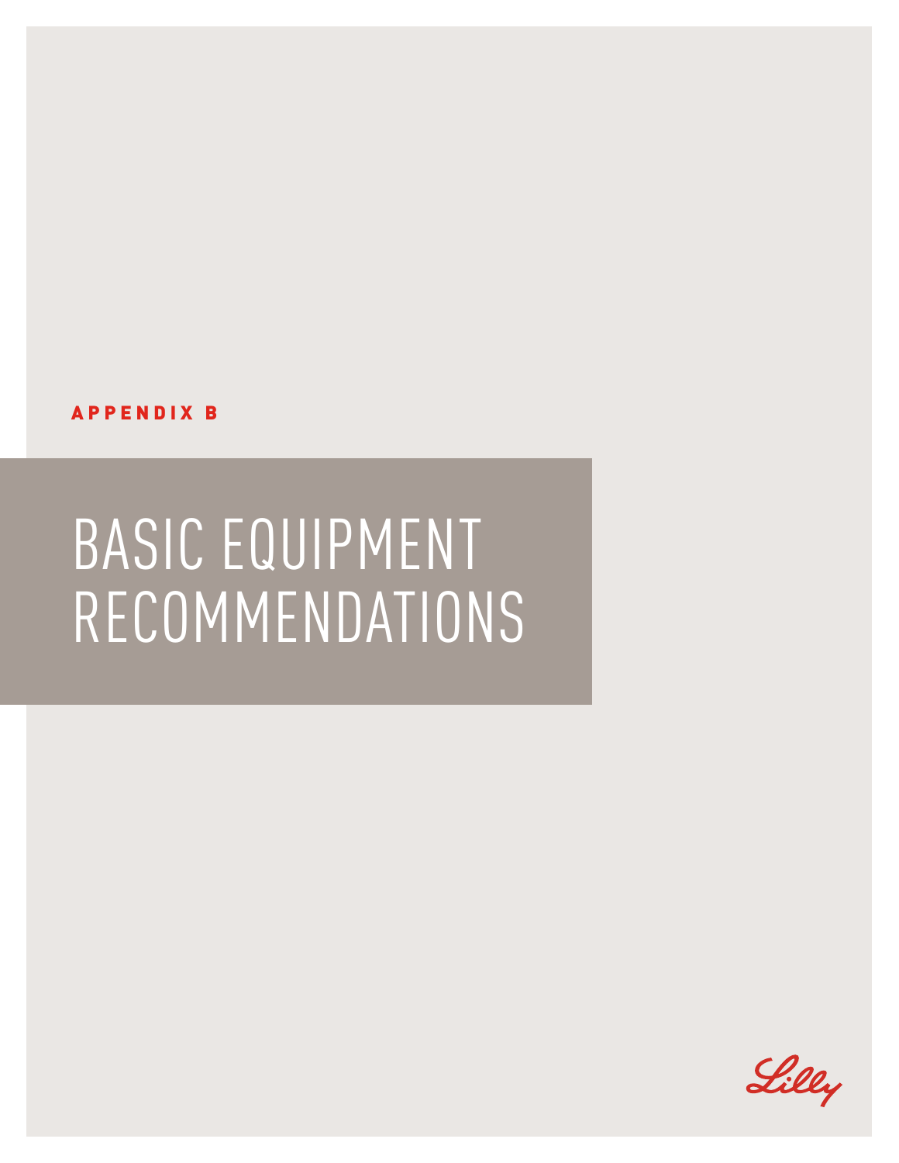

## BASIC EQUIPMENT RECOMMENDATIONS

APPENDIX B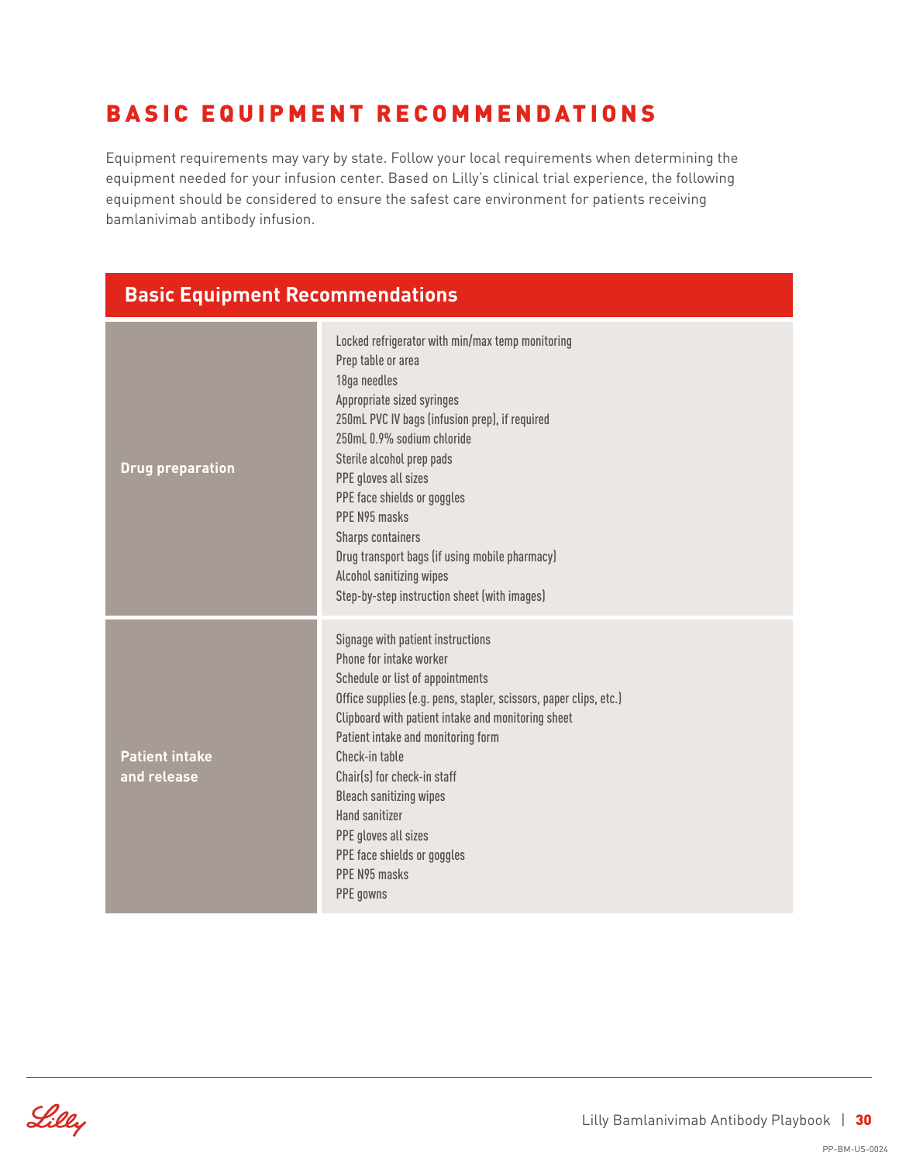## BASIC EQUIPMENT RECOMMENDATIONS

Equipment requirements may vary by state. Follow your local requirements when determining the equipment needed for your infusion center. Based on Lilly's clinical trial experience, the following equipment should be considered to ensure the safest care environment for patients receiving bamlanivimab antibody infusion.

#### **Basic Equipment Recommendations**

| <b>Drug preparation</b>              | Locked refrigerator with min/max temp monitoring<br>Prep table or area<br>18ga needles<br>Appropriate sized syringes<br>250mL PVC IV bags (infusion prep), if required<br>250mL 0.9% sodium chloride<br>Sterile alcohol prep pads<br>PPE gloves all sizes<br>PPE face shields or goggles<br>PPF N95 masks<br><b>Sharps containers</b><br>Drug transport bags (if using mobile pharmacy)<br>Alcohol sanitizing wipes<br>Step-by-step instruction sheet (with images) |
|--------------------------------------|---------------------------------------------------------------------------------------------------------------------------------------------------------------------------------------------------------------------------------------------------------------------------------------------------------------------------------------------------------------------------------------------------------------------------------------------------------------------|
| <b>Patient intake</b><br>and release | Signage with patient instructions<br>Phone for intake worker<br>Schedule or list of appointments<br>Office supplies (e.g. pens, stapler, scissors, paper clips, etc.)<br>Clipboard with patient intake and monitoring sheet<br>Patient intake and monitoring form<br>Check-in table<br>Chair(s) for check-in staff<br><b>Bleach sanitizing wipes</b><br>Hand sanitizer<br>PPE gloves all sizes<br>PPE face shields or goggles<br>PPF N95 masks<br>PPE gowns         |

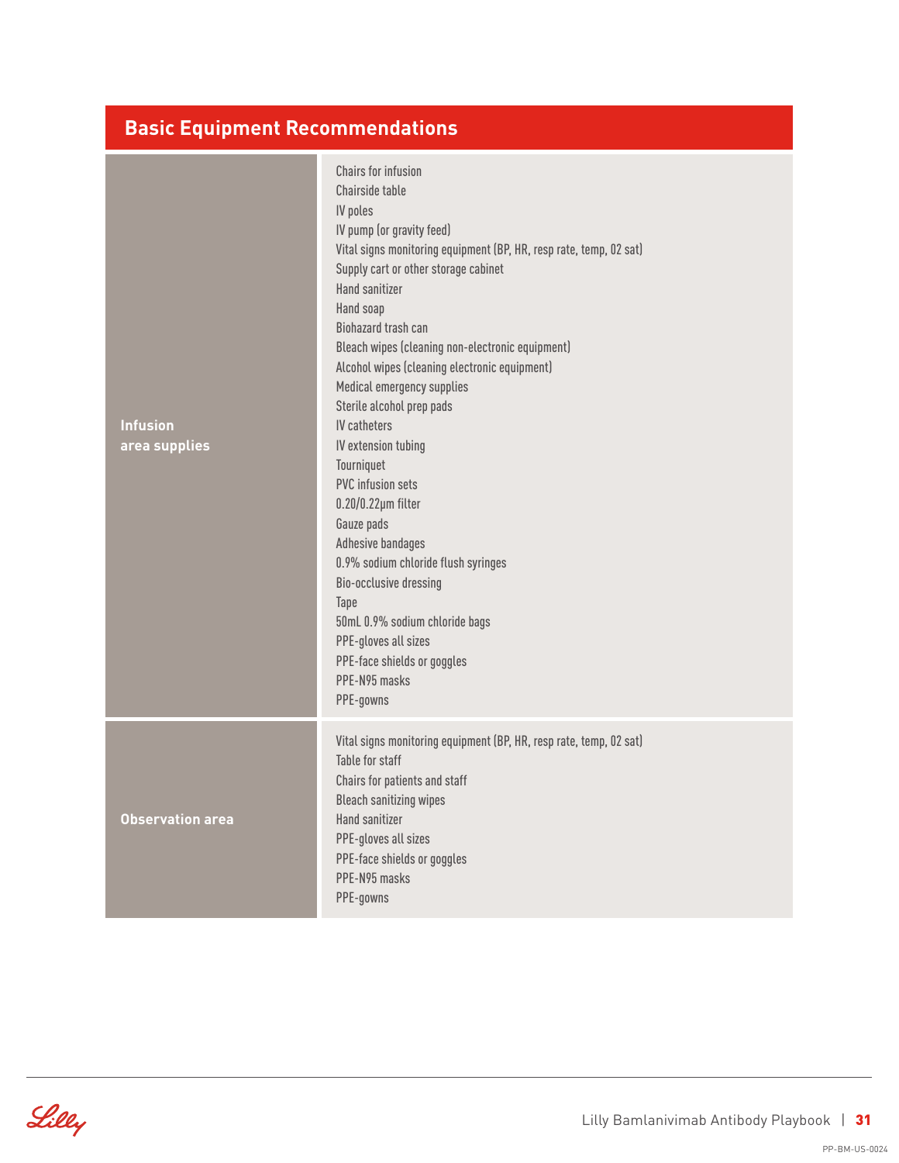### **Basic Equipment Recommendations**

| <b>Infusion</b><br>area supplies | <b>Chairs for infusion</b><br>Chairside table<br>IV poles<br>IV pump (or gravity feed)<br>Vital signs monitoring equipment (BP, HR, resp rate, temp, 02 sat)<br>Supply cart or other storage cabinet<br><b>Hand sanitizer</b><br>Hand soap<br>Biohazard trash can<br>Bleach wipes (cleaning non-electronic equipment)<br>Alcohol wipes (cleaning electronic equipment)<br>Medical emergency supplies<br>Sterile alcohol prep pads<br><b>IV</b> catheters<br>IV extension tubing<br>Tourniquet<br><b>PVC</b> infusion sets<br>$0.20/0.22 \mu m$ filter<br>Gauze pads<br>Adhesive bandages<br>0.9% sodium chloride flush syringes<br>Bio-occlusive dressing<br>Tape<br>50mL 0.9% sodium chloride bags<br>PPE-gloves all sizes<br>PPE-face shields or goggles<br>PPE-N95 masks<br>PPE-gowns |
|----------------------------------|------------------------------------------------------------------------------------------------------------------------------------------------------------------------------------------------------------------------------------------------------------------------------------------------------------------------------------------------------------------------------------------------------------------------------------------------------------------------------------------------------------------------------------------------------------------------------------------------------------------------------------------------------------------------------------------------------------------------------------------------------------------------------------------|
| <b>Observation area</b>          | Vital signs monitoring equipment (BP, HR, resp rate, temp, 02 sat)<br>Table for staff<br>Chairs for patients and staff<br><b>Bleach sanitizing wipes</b><br>Hand sanitizer<br>PPE-gloves all sizes<br>PPE-face shields or goggles<br>PPE-N95 masks<br>PPE-gowns                                                                                                                                                                                                                                                                                                                                                                                                                                                                                                                          |